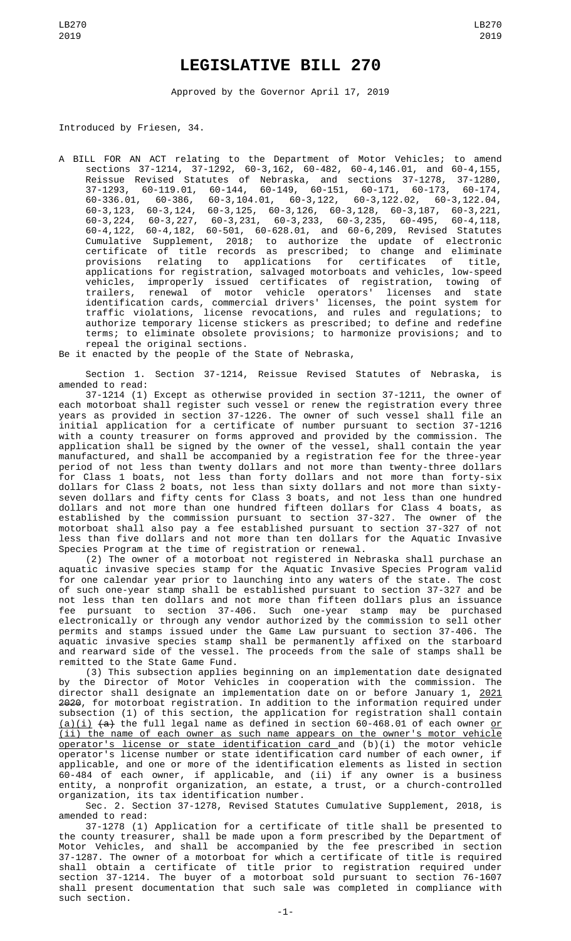## **LEGISLATIVE BILL 270**

Approved by the Governor April 17, 2019

Introduced by Friesen, 34.

A BILL FOR AN ACT relating to the Department of Motor Vehicles; to amend sections 37-1214, 37-1292, 60-3,162, 60-482, 60-4,146.01, and 60-4,155, Reissue Revised Statutes of Nebraska, and sections 37-1278, 37-1280, 37-1293, 60-119.01, 60-144, 60-149, 60-151, 60-171, 60-173, 60-174, 60-336.01, 60-386, 60-3,104.01, 60-3,122, 60-3,122.02, 60-3,122.04,  $60-3,123, 60-3,124, 60-3,125, 60-3,126, 60-3,128, 60-3,187, 60-3,221, 60-3,224, 60-3,227, 60-3,231, 60-3,233, 60-3,235, 60-495, 60-4,118,$ 60-3,224, 60-3,227, 60-3,231, 60-3,233, 60-3,235, 60-495, 60-4,118, 60-4,122, 60-4,182, 60-501, 60-628.01, and 60-6,209, Revised Statutes Cumulative Supplement, 2018; to authorize the update of electronic certificate of title records as prescribed; to change and eliminate provisions relating to applications for certificates of title, applications for registration, salvaged motorboats and vehicles, low-speed vehicles, improperly issued certificates of registration, towing of trailers, renewal of motor vehicle operators' licenses and state identification cards, commercial drivers' licenses, the point system for traffic violations, license revocations, and rules and regulations; to traffic violations, license revocations, and rules and regulations; to authorize temporary license stickers as prescribed; to define and redefine terms; to eliminate obsolete provisions; to harmonize provisions; and to repeal the original sections.

Be it enacted by the people of the State of Nebraska,

Section 1. Section 37-1214, Reissue Revised Statutes of Nebraska, is amended to read:

37-1214 (1) Except as otherwise provided in section 37-1211, the owner of each motorboat shall register such vessel or renew the registration every three years as provided in section 37-1226. The owner of such vessel shall file an initial application for a certificate of number pursuant to section 37-1216 with a county treasurer on forms approved and provided by the commission. The application shall be signed by the owner of the vessel, shall contain the year manufactured, and shall be accompanied by a registration fee for the three-year period of not less than twenty dollars and not more than twenty-three dollars for Class 1 boats, not less than forty dollars and not more than forty-six dollars for Class 2 boats, not less than sixty dollars and not more than sixtyseven dollars and fifty cents for Class 3 boats, and not less than one hundred dollars and not more than one hundred fifteen dollars for Class 4 boats, as established by the commission pursuant to section 37-327. The owner of the motorboat shall also pay a fee established pursuant to section 37-327 of not less than five dollars and not more than ten dollars for the Aquatic Invasive Species Program at the time of registration or renewal.

(2) The owner of a motorboat not registered in Nebraska shall purchase an aquatic invasive species stamp for the Aquatic Invasive Species Program valid for one calendar year prior to launching into any waters of the state. The cost of such one-year stamp shall be established pursuant to section 37-327 and be not less than ten dollars and not more than fifteen dollars plus an issuance fee pursuant to section 37-406. Such one-year stamp may be purchased electronically or through any vendor authorized by the commission to sell other permits and stamps issued under the Game Law pursuant to section 37-406. The aquatic invasive species stamp shall be permanently affixed on the starboard and rearward side of the vessel. The proceeds from the sale of stamps shall be remitted to the State Game Fund.

(3) This subsection applies beginning on an implementation date designated by the Director of Motor Vehicles in cooperation with the commission. The director shall designate an implementation date on or before January 1, 2021 2020, for motorboat registration. In addition to the information required under subsection (1) of this section, the application for registration shall contain  $(a)(i)$   $(a)$  the full legal name as defined in section 60-468.01 of each owner <u>or</u> (ii) the name of each owner as such name appears on the owner's motor vehicle operator's license or state identification card and (b)(i) the motor vehicle operator's license number or state identification card number of each owner, if applicable, and one or more of the identification elements as listed in section 60-484 of each owner, if applicable, and (ii) if any owner is a business entity, a nonprofit organization, an estate, a trust, or a church-controlled organization, its tax identification number.

Sec. 2. Section 37-1278, Revised Statutes Cumulative Supplement, 2018, is amended to read:

37-1278 (1) Application for a certificate of title shall be presented to the county treasurer, shall be made upon a form prescribed by the Department of Motor Vehicles, and shall be accompanied by the fee prescribed in section 37-1287. The owner of a motorboat for which a certificate of title is required shall obtain a certificate of title prior to registration required under section 37-1214. The buyer of a motorboat sold pursuant to section 76-1607 shall present documentation that such sale was completed in compliance with such section.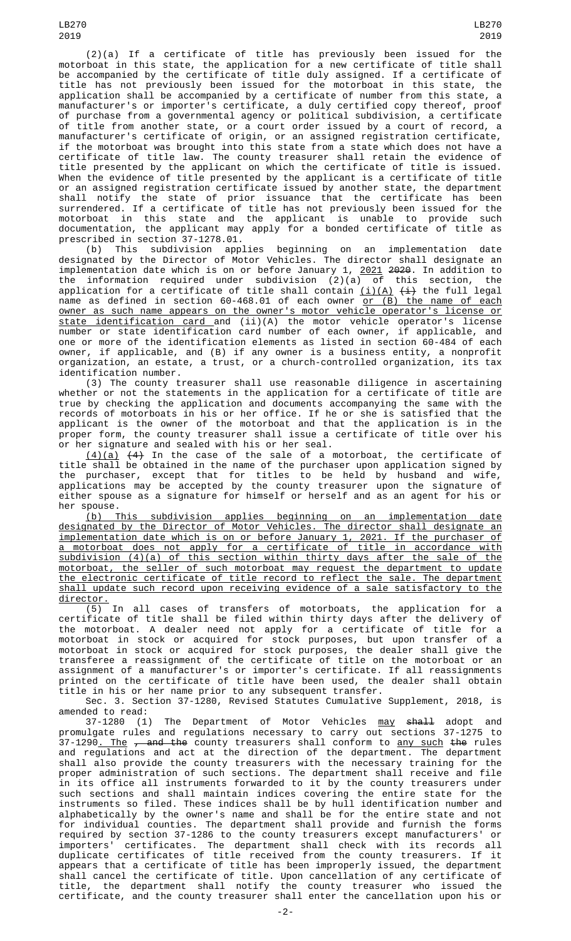LB270 2019

(2)(a) If a certificate of title has previously been issued for the motorboat in this state, the application for a new certificate of title shall be accompanied by the certificate of title duly assigned. If a certificate of title has not previously been issued for the motorboat in this state, the application shall be accompanied by a certificate of number from this state, a manufacturer's or importer's certificate, a duly certified copy thereof, proof of purchase from a governmental agency or political subdivision, a certificate of title from another state, or a court order issued by a court of record, a manufacturer's certificate of origin, or an assigned registration certificate, if the motorboat was brought into this state from a state which does not have a certificate of title law. The county treasurer shall retain the evidence of title presented by the applicant on which the certificate of title is issued. When the evidence of title presented by the applicant is a certificate of title or an assigned registration certificate issued by another state, the department shall notify the state of prior issuance that the certificate has been surrendered. If a certificate of title has not previously been issued for the motorboat in this state and the applicant is unable to provide such documentation, the applicant may apply for a bonded certificate of title as prescribed in section 37-1278.01.

(b) This subdivision applies beginning on an implementation date designated by the Director of Motor Vehicles. The director shall designate an implementation date which is on or before January 1, <u>2021</u> <del>2020</del>. In addition to the information required under subdivision (2)(a) of this section, the application for a certificate of title shall contain <u>(i)(A)</u> <del>(i)</del> the full legal name as defined in section 60-468.01 of each owner <u>or (B) the name of each</u> owner as such name appears on the owner's motor vehicle operator's license or state identification card and (ii)(A) the motor vehicle operator's license number or state identification card number of each owner, if applicable, and one or more of the identification elements as listed in section 60-484 of each owner, if applicable, and (B) if any owner is a business entity, a nonprofit organization, an estate, a trust, or a church-controlled organization, its tax identification number.

(3) The county treasurer shall use reasonable diligence in ascertaining whether or not the statements in the application for a certificate of title are true by checking the application and documents accompanying the same with the records of motorboats in his or her office. If he or she is satisfied that the applicant is the owner of the motorboat and that the application is in the proper form, the county treasurer shall issue a certificate of title over his or her signature and sealed with his or her seal.

 $(4)(a)$   $(4)$  In the case of the sale of a motorboat, the certificate of title shall be obtained in the name of the purchaser upon application signed by the purchaser, except that for titles to be held by husband and wife, applications may be accepted by the county treasurer upon the signature of either spouse as a signature for himself or herself and as an agent for his or her spouse.

(b) This subdivision applies beginning on an implementation date designated by the Director of Motor Vehicles. The director shall designate an implementation date which is on or before January 1, 2021. If the purchaser of a motorboat does not apply for a certificate of title in accordance with subdivision (4)(a) of this section within thirty days after the sale of the motorboat, the seller of such motorboat may request the department to update the electronic certificate of title record to reflect the sale. The department shall update such record upon receiving evidence of a sale satisfactory to the director.

(5) In all cases of transfers of motorboats, the application for a certificate of title shall be filed within thirty days after the delivery of the motorboat. A dealer need not apply for a certificate of title for a motorboat in stock or acquired for stock purposes, but upon transfer of a motorboat in stock or acquired for stock purposes, the dealer shall give the transferee a reassignment of the certificate of title on the motorboat or an assignment of a manufacturer's or importer's certificate. If all reassignments printed on the certificate of title have been used, the dealer shall obtain title in his or her name prior to any subsequent transfer.

Sec. 3. Section 37-1280, Revised Statutes Cumulative Supplement, 2018, is amended to read:

37-1280 (1) The Department of Motor Vehicles <u>may</u> <del>shall</del> adopt and promulgate rules and regulations necessary to carry out sections 37-1275 to 37-1290<u>. The , and the</u> county treasurers shall conform to <u>any such</u> the rules and regulations and act at the direction of the department. The department shall also provide the county treasurers with the necessary training for the proper administration of such sections. The department shall receive and file in its office all instruments forwarded to it by the county treasurers under such sections and shall maintain indices covering the entire state for the instruments so filed. These indices shall be by hull identification number and alphabetically by the owner's name and shall be for the entire state and not for individual counties. The department shall provide and furnish the forms required by section 37-1286 to the county treasurers except manufacturers' or importers' certificates. The department shall check with its records all duplicate certificates of title received from the county treasurers. If it appears that a certificate of title has been improperly issued, the department shall cancel the certificate of title. Upon cancellation of any certificate of title, the department shall notify the county treasurer who issued the certificate, and the county treasurer shall enter the cancellation upon his or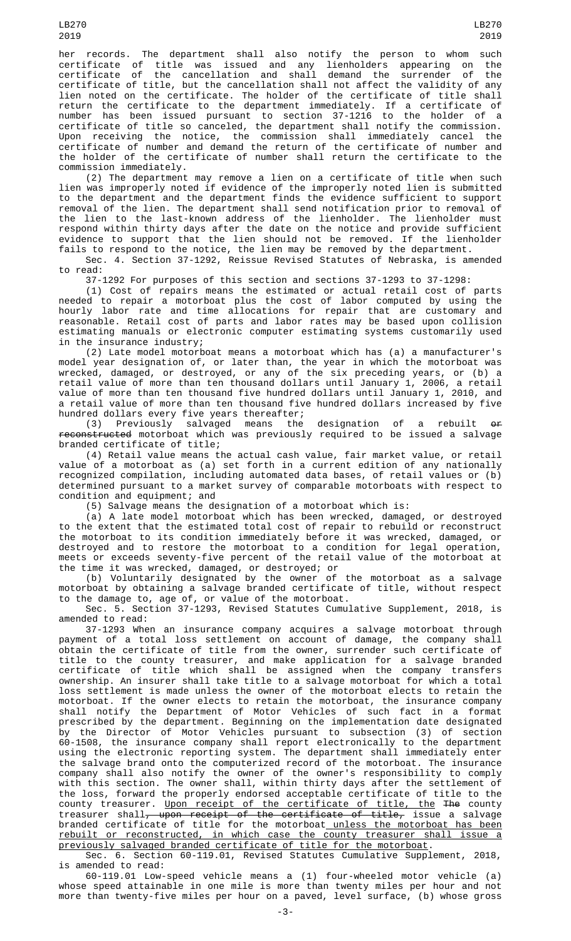her records. The department shall also notify the person to whom such certificate of title was issued and any lienholders appearing on the certificate of the cancellation and shall demand the surrender of the certificate of title, but the cancellation shall not affect the validity of any lien noted on the certificate. The holder of the certificate of title shall return the certificate to the department immediately. If a certificate of number has been issued pursuant to section 37-1216 to the holder of a certificate of title so canceled, the department shall notify the commission. Upon receiving the notice, the commission shall immediately cancel the certificate of number and demand the return of the certificate of number and the holder of the certificate of number shall return the certificate to the commission immediately.

(2) The department may remove a lien on a certificate of title when such lien was improperly noted if evidence of the improperly noted lien is submitted to the department and the department finds the evidence sufficient to support removal of the lien. The department shall send notification prior to removal of the lien to the last-known address of the lienholder. The lienholder must respond within thirty days after the date on the notice and provide sufficient evidence to support that the lien should not be removed. If the lienholder fails to respond to the notice, the lien may be removed by the department.

Sec. 4. Section 37-1292, Reissue Revised Statutes of Nebraska, is amended to read:

37-1292 For purposes of this section and sections 37-1293 to 37-1298:

(1) Cost of repairs means the estimated or actual retail cost of parts needed to repair a motorboat plus the cost of labor computed by using the hourly labor rate and time allocations for repair that are customary and reasonable. Retail cost of parts and labor rates may be based upon collision estimating manuals or electronic computer estimating systems customarily used in the insurance industry;

(2) Late model motorboat means a motorboat which has (a) a manufacturer's model year designation of, or later than, the year in which the motorboat was wrecked, damaged, or destroyed, or any of the six preceding years, or (b) a retail value of more than ten thousand dollars until January 1, 2006, a retail value of more than ten thousand five hundred dollars until January 1, 2010, and a retail value of more than ten thousand five hundred dollars increased by five hundred dollars every five years thereafter;<br>(3) Previously salvaged means the

salvaged means the designation of a rebuilt  $\theta$ f reconstructed motorboat which was previously required to be issued a salvage branded certificate of title;

(4) Retail value means the actual cash value, fair market value, or retail value of a motorboat as (a) set forth in a current edition of any nationally recognized compilation, including automated data bases, of retail values or (b) determined pursuant to a market survey of comparable motorboats with respect to condition and equipment; and

(5) Salvage means the designation of a motorboat which is:

(a) A late model motorboat which has been wrecked, damaged, or destroyed to the extent that the estimated total cost of repair to rebuild or reconstruct the motorboat to its condition immediately before it was wrecked, damaged, or destroyed and to restore the motorboat to a condition for legal operation, meets or exceeds seventy-five percent of the retail value of the motorboat at the time it was wrecked, damaged, or destroyed; or

(b) Voluntarily designated by the owner of the motorboat as a salvage motorboat by obtaining a salvage branded certificate of title, without respect to the damage to, age of, or value of the motorboat.

Sec. 5. Section 37-1293, Revised Statutes Cumulative Supplement, 2018, is amended to read:

37-1293 When an insurance company acquires a salvage motorboat through payment of a total loss settlement on account of damage, the company shall obtain the certificate of title from the owner, surrender such certificate of title to the county treasurer, and make application for a salvage branded certificate of title which shall be assigned when the company transfers ownership. An insurer shall take title to a salvage motorboat for which a total loss settlement is made unless the owner of the motorboat elects to retain the motorboat. If the owner elects to retain the motorboat, the insurance company shall notify the Department of Motor Vehicles of such fact in a format prescribed by the department. Beginning on the implementation date designated by the Director of Motor Vehicles pursuant to subsection (3) of section 60-1508, the insurance company shall report electronically to the department using the electronic reporting system. The department shall immediately enter the salvage brand onto the computerized record of the motorboat. The insurance company shall also notify the owner of the owner's responsibility to comply with this section. The owner shall, within thirty days after the settlement of the loss, forward the properly endorsed acceptable certificate of title to the county treasurer. <u>Upon receipt of the certificate of title, the</u> <del>The</del> county treasurer shall, upon receipt of the certificate of title, issue a salvage branded certificate of title for the motorboat unless the motorboat has been rebuilt or reconstructed, in which case the county treasurer shall issue a previously salvaged branded certificate of title for the motorboat.

Sec. 6. Section 60-119.01, Revised Statutes Cumulative Supplement, 2018, is amended to read:

60-119.01 Low-speed vehicle means a (1) four-wheeled motor vehicle (a) whose speed attainable in one mile is more than twenty miles per hour and not more than twenty-five miles per hour on a paved, level surface, (b) whose gross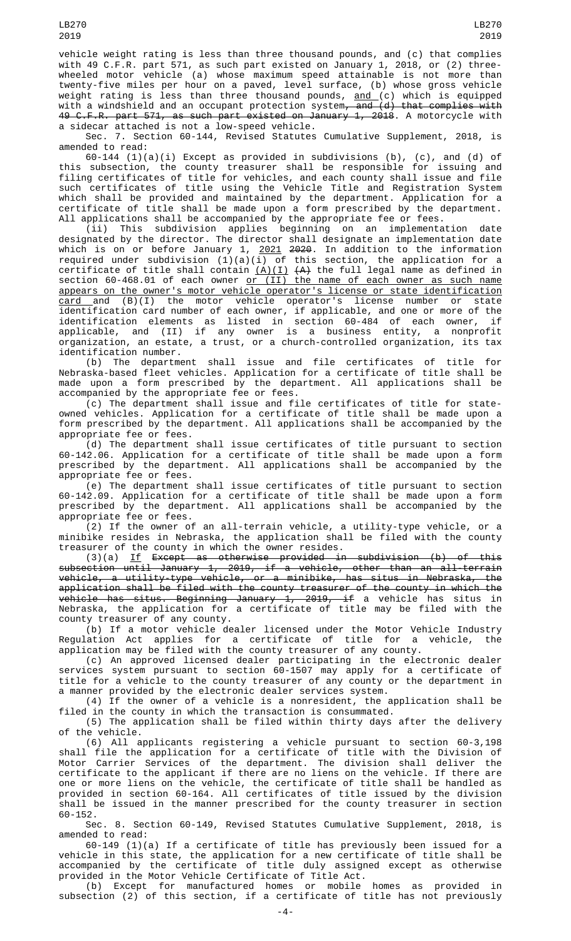vehicle weight rating is less than three thousand pounds, and (c) that complies with 49 C.F.R. part 571, as such part existed on January 1, 2018, or (2) threewheeled motor vehicle (a) whose maximum speed attainable is not more than twenty-five miles per hour on a paved, level surface, (b) whose gross vehicle weight rating is less than three thousand pounds, <u>and (</u>c) which is equipped with a windshield and an occupant protection system<del>, and (d) that complies with</del> 49 C.F.R. part 571, as such part existed on January 1, 2018. A motorcycle with a sidecar attached is not a low-speed vehicle.

Sec. 7. Section 60-144, Revised Statutes Cumulative Supplement, 2018, is amended to read:

60-144 (1)(a)(i) Except as provided in subdivisions (b), (c), and (d) of this subsection, the county treasurer shall be responsible for issuing and filing certificates of title for vehicles, and each county shall issue and file such certificates of title using the Vehicle Title and Registration System which shall be provided and maintained by the department. Application for a certificate of title shall be made upon a form prescribed by the department. All applications shall be accompanied by the appropriate fee or fees.

(ii) This subdivision applies beginning on an implementation date designated by the director. The director shall designate an implementation date which is on or before January 1, <u>2021</u> <del>2020</del>. In addition to the information required under subdivision (1)(a)(i) of this section, the application for a certificate of title shall contain <u>(A)(I)</u>  $\{ {\sf A} \}$  the full legal name as defined in section 60-468.01 of each owner <u>or (II) the name of each owner as such name</u> appears on the owner's motor vehicle operator's license or state identification <u>card a</u>nd (B)(I) the motor vehicle operator's license number or state identification card number of each owner, if applicable, and one or more of the identification elements as listed in section 60-484 of each owner, if applicable, and (II) if any owner is a business entity, a nonprofit organization, an estate, a trust, or a church-controlled organization, its tax identification number.

(b) The department shall issue and file certificates of title for Nebraska-based fleet vehicles. Application for a certificate of title shall be made upon a form prescribed by the department. All applications shall be accompanied by the appropriate fee or fees.

(c) The department shall issue and file certificates of title for stateowned vehicles. Application for a certificate of title shall be made upon a form prescribed by the department. All applications shall be accompanied by the appropriate fee or fees.

(d) The department shall issue certificates of title pursuant to section 60-142.06. Application for a certificate of title shall be made upon a form prescribed by the department. All applications shall be accompanied by the appropriate fee or fees.

(e) The department shall issue certificates of title pursuant to section 60-142.09. Application for a certificate of title shall be made upon a form prescribed by the department. All applications shall be accompanied by the appropriate fee or fees.

(2) If the owner of an all-terrain vehicle, a utility-type vehicle, or a minibike resides in Nebraska, the application shall be filed with the county treasurer of the county in which the owner resides.

(3)(a) If Except as otherwise provided in subdivision (b) of this subsection until January 1, 2019, if a vehicle, other than an all-terrain vehicle, a utility-type vehicle, or a minibike, has situs in Nebraska, the application shall be filed with the county treasurer of the county in which the <del>vehicle has situs. Beginning January 1, 2019, if</del> a vehicle has situs in Nebraska, the application for a certificate of title may be filed with the county treasurer of any county.

(b) If a motor vehicle dealer licensed under the Motor Vehicle Industry Regulation Act applies for a certificate of title for a vehicle, the application may be filed with the county treasurer of any county.

(c) An approved licensed dealer participating in the electronic dealer services system pursuant to section 60-1507 may apply for a certificate of title for a vehicle to the county treasurer of any county or the department in a manner provided by the electronic dealer services system.

(4) If the owner of a vehicle is a nonresident, the application shall be filed in the county in which the transaction is consummated.

(5) The application shall be filed within thirty days after the delivery of the vehicle.

(6) All applicants registering a vehicle pursuant to section 60-3,198 shall file the application for a certificate of title with the Division of Motor Carrier Services of the department. The division shall deliver the certificate to the applicant if there are no liens on the vehicle. If there are one or more liens on the vehicle, the certificate of title shall be handled as provided in section 60-164. All certificates of title issued by the division shall be issued in the manner prescribed for the county treasurer in section 60-152.

Sec. 8. Section 60-149, Revised Statutes Cumulative Supplement, 2018, is amended to read:

60-149 (1)(a) If a certificate of title has previously been issued for a vehicle in this state, the application for a new certificate of title shall be accompanied by the certificate of title duly assigned except as otherwise provided in the Motor Vehicle Certificate of Title Act.

(b) Except for manufactured homes or mobile homes as provided in subsection (2) of this section, if a certificate of title has not previously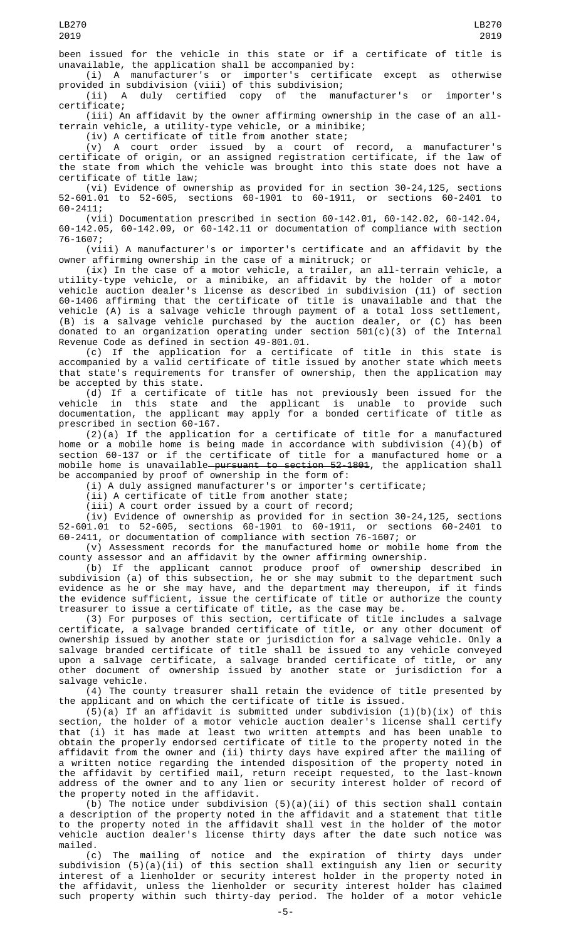been issued for the vehicle in this state or if a certificate of title is unavailable, the application shall be accompanied by:

(i) A manufacturer's or importer's certificate except as otherwise provided in subdivision (viii) of this subdivision;

(ii) A duly certified copy of the manufacturer's or importer's certificate;

(iii) An affidavit by the owner affirming ownership in the case of an allterrain vehicle, a utility-type vehicle, or a minibike;

(iv) A certificate of title from another state;

(v) A court order issued by a court of record, a manufacturer's certificate of origin, or an assigned registration certificate, if the law of the state from which the vehicle was brought into this state does not have a certificate of title law;

(vi) Evidence of ownership as provided for in section 30-24,125, sections 52-601.01 to 52-605, sections 60-1901 to 60-1911, or sections 60-2401 to 60-2411;

(vii) Documentation prescribed in section 60-142.01, 60-142.02, 60-142.04, 60-142.05, 60-142.09, or 60-142.11 or documentation of compliance with section 76-1607;

(viii) A manufacturer's or importer's certificate and an affidavit by the owner affirming ownership in the case of a minitruck; or

(ix) In the case of a motor vehicle, a trailer, an all-terrain vehicle, a utility-type vehicle, or a minibike, an affidavit by the holder of a motor vehicle auction dealer's license as described in subdivision (11) of section 60-1406 affirming that the certificate of title is unavailable and that the vehicle (A) is a salvage vehicle through payment of a total loss settlement, (B) is a salvage vehicle purchased by the auction dealer, or (C) has been donated to an organization operating under section 501(c)(3) of the Internal Revenue Code as defined in section 49-801.01.

(c) If the application for a certificate of title in this state is accompanied by a valid certificate of title issued by another state which meets that state's requirements for transfer of ownership, then the application may be accepted by this state.

(d) If a certificate of title has not previously been issued for the vehicle in this state and the applicant is unable to provide such documentation, the applicant may apply for a bonded certificate of title as prescribed in section 60-167.

(2)(a) If the application for a certificate of title for a manufactured home or a mobile home is being made in accordance with subdivision (4)(b) of section 60-137 or if the certificate of title for a manufactured home or a mobile home is unavailable—<del>pursuant to section 52-1801</del>, the application shall be accompanied by proof of ownership in the form of:

(i) A duly assigned manufacturer's or importer's certificate;

(ii) A certificate of title from another state;

(iii) A court order issued by a court of record;

(iv) Evidence of ownership as provided for in section 30-24,125, sections 52-601.01 to 52-605, sections 60-1901 to 60-1911, or sections 60-2401 to 60-2411, or documentation of compliance with section 76-1607; or

(v) Assessment records for the manufactured home or mobile home from the county assessor and an affidavit by the owner affirming ownership.

(b) If the applicant cannot produce proof of ownership described in subdivision (a) of this subsection, he or she may submit to the department such evidence as he or she may have, and the department may thereupon, if it finds the evidence sufficient, issue the certificate of title or authorize the county treasurer to issue a certificate of title, as the case may be.

(3) For purposes of this section, certificate of title includes a salvage certificate, a salvage branded certificate of title, or any other document of ownership issued by another state or jurisdiction for a salvage vehicle. Only a salvage branded certificate of title shall be issued to any vehicle conveyed upon a salvage certificate, a salvage branded certificate of title, or any other document of ownership issued by another state or jurisdiction for a salvage vehicle.

(4) The county treasurer shall retain the evidence of title presented by the applicant and on which the certificate of title is issued.

(5)(a) If an affidavit is submitted under subdivision  $(1)(b)(ix)$  of this section, the holder of a motor vehicle auction dealer's license shall certify that (i) it has made at least two written attempts and has been unable to obtain the properly endorsed certificate of title to the property noted in the affidavit from the owner and (ii) thirty days have expired after the mailing of a written notice regarding the intended disposition of the property noted in the affidavit by certified mail, return receipt requested, to the last-known address of the owner and to any lien or security interest holder of record of the property noted in the affidavit.

(b) The notice under subdivision  $(5)(a)(ii)$  of this section shall contain a description of the property noted in the affidavit and a statement that title to the property noted in the affidavit shall vest in the holder of the motor vehicle auction dealer's license thirty days after the date such notice was mailed.

(c) The mailing of notice and the expiration of thirty days under subdivision (5)(a)(ii) of this section shall extinguish any lien or security interest of a lienholder or security interest holder in the property noted in the affidavit, unless the lienholder or security interest holder has claimed such property within such thirty-day period. The holder of a motor vehicle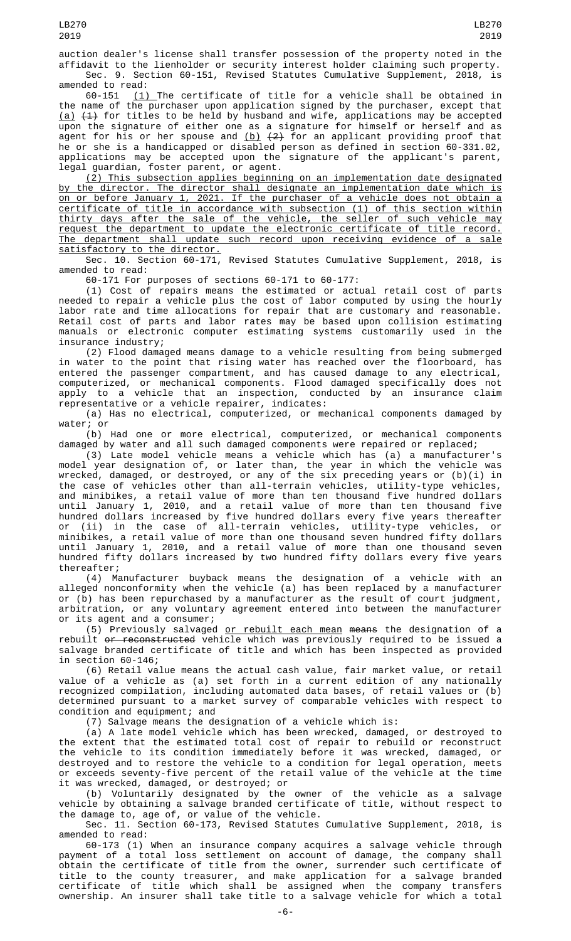auction dealer's license shall transfer possession of the property noted in the affidavit to the lienholder or security interest holder claiming such property. Sec. 9. Section 60-151, Revised Statutes Cumulative Supplement, amended to read:

60-151  $(1)$  The certificate of title for a vehicle shall be obtained in the name of the purchaser upon application signed by the purchaser, except that <u>(a)</u> <del>(1)</del> for titles to be held by husband and wife, applications may be accepted upon the signature of either one as a signature for himself or herself and as agent for his or her spouse and <u>(b)</u> <del>(2)</del> for an applicant providing proof that he or she is a handicapped or disabled person as defined in section 60-331.02, applications may be accepted upon the signature of the applicant's parent, legal guardian, foster parent, or agent.

(2) This subsection applies beginning on an implementation date designated by the director. The director shall designate an implementation date which is on or before January 1, 2021. If the purchaser of a vehicle does not obtain a certificate of title in accordance with subsection (1) of this section within thirty days after the sale of the vehicle, the seller of such vehicle may request the department to update the electronic certificate of title record. The department shall update such record upon receiving evidence of a sale satisfactory to the director.

Sec. 10. Section 60-171, Revised Statutes Cumulative Supplement, 2018, is amended to read:

60-171 For purposes of sections 60-171 to 60-177:

(1) Cost of repairs means the estimated or actual retail cost of parts needed to repair a vehicle plus the cost of labor computed by using the hourly labor rate and time allocations for repair that are customary and reasonable. Retail cost of parts and labor rates may be based upon collision estimating manuals or electronic computer estimating systems customarily used in the insurance industry;

(2) Flood damaged means damage to a vehicle resulting from being submerged in water to the point that rising water has reached over the floorboard, has entered the passenger compartment, and has caused damage to any electrical, computerized, or mechanical components. Flood damaged specifically does not apply to a vehicle that an inspection, conducted by an insurance claim representative or a vehicle repairer, indicates:

(a) Has no electrical, computerized, or mechanical components damaged by water; or

(b) Had one or more electrical, computerized, or mechanical components damaged by water and all such damaged components were repaired or replaced;

(3) Late model vehicle means a vehicle which has (a) a manufacturer's model year designation of, or later than, the year in which the vehicle was wrecked, damaged, or destroyed, or any of the six preceding years or (b)(i) in the case of vehicles other than all-terrain vehicles, utility-type vehicles, and minibikes, a retail value of more than ten thousand five hundred dollars until January 1, 2010, and a retail value of more than ten thousand five hundred dollars increased by five hundred dollars every five years thereafter or (ii) in the case of all-terrain vehicles, utility-type vehicles, or minibikes, a retail value of more than one thousand seven hundred fifty dollars until January 1, 2010, and a retail value of more than one thousand seven hundred fifty dollars increased by two hundred fifty dollars every five years thereafter;

(4) Manufacturer buyback means the designation of a vehicle with an alleged nonconformity when the vehicle (a) has been replaced by a manufacturer or (b) has been repurchased by a manufacturer as the result of court judgment, arbitration, or any voluntary agreement entered into between the manufacturer or its agent and a consumer;

(5) Previously salvaged or rebuilt each mean means the designation of a rebuilt <del>or reconstructed</del> vehicle which was previously required to be issued a salvage branded certificate of title and which has been inspected as provided in section 60-146;

(6) Retail value means the actual cash value, fair market value, or retail value of a vehicle as (a) set forth in a current edition of any nationally recognized compilation, including automated data bases, of retail values or (b) determined pursuant to a market survey of comparable vehicles with respect to condition and equipment; and

(7) Salvage means the designation of a vehicle which is:

(a) A late model vehicle which has been wrecked, damaged, or destroyed to the extent that the estimated total cost of repair to rebuild or reconstruct the vehicle to its condition immediately before it was wrecked, damaged, or destroyed and to restore the vehicle to a condition for legal operation, meets or exceeds seventy-five percent of the retail value of the vehicle at the time it was wrecked, damaged, or destroyed; or

(b) Voluntarily designated by the owner of the vehicle as a salvage vehicle by obtaining a salvage branded certificate of title, without respect to the damage to, age of, or value of the vehicle.

Sec. 11. Section 60-173, Revised Statutes Cumulative Supplement, 2018, is amended to read:

60-173 (1) When an insurance company acquires a salvage vehicle through payment of a total loss settlement on account of damage, the company shall obtain the certificate of title from the owner, surrender such certificate of title to the county treasurer, and make application for a salvage branded certificate of title which shall be assigned when the company transfers ownership. An insurer shall take title to a salvage vehicle for which a total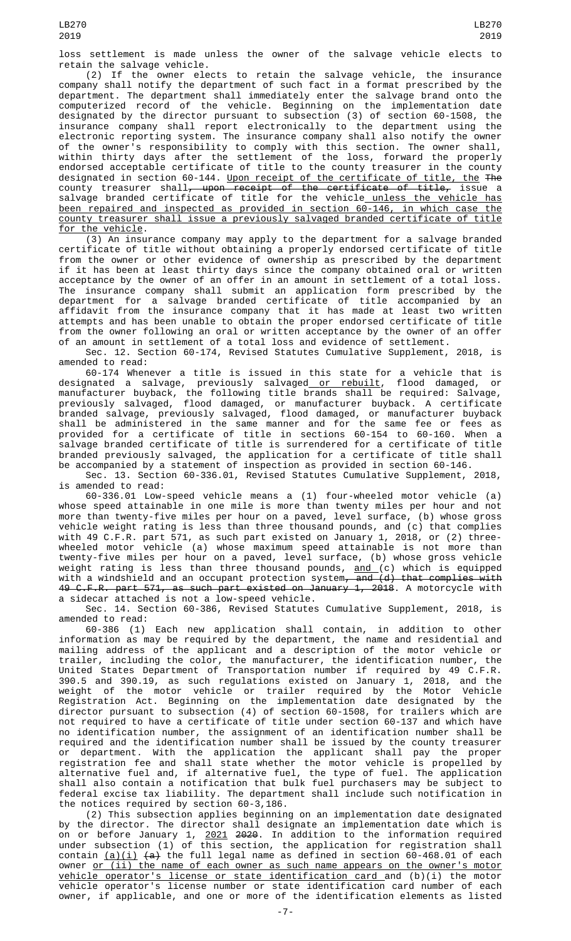loss settlement is made unless the owner of the salvage vehicle elects to retain the salvage vehicle.

(2) If the owner elects to retain the salvage vehicle, the insurance company shall notify the department of such fact in a format prescribed by the department. The department shall immediately enter the salvage brand onto the computerized record of the vehicle. Beginning on the implementation date designated by the director pursuant to subsection (3) of section 60-1508, the insurance company shall report electronically to the department using the electronic reporting system. The insurance company shall also notify the owner of the owner's responsibility to comply with this section. The owner shall, within thirty days after the settlement of the loss, forward the properly endorsed acceptable certificate of title to the county treasurer in the county designated in section 60-144. Upon receipt of the certificate of title, the The county treasurer shall<del>, upon receipt of the certificate of title,</del> issue a salvage branded certificate of title for the vehicle<u> unless the vehicle has</u> been repaired and inspected as provided in section 60-146, in which case the county treasurer shall issue a previously salvaged branded certificate of title for the vehicle.

(3) An insurance company may apply to the department for a salvage branded certificate of title without obtaining a properly endorsed certificate of title from the owner or other evidence of ownership as prescribed by the department if it has been at least thirty days since the company obtained oral or written acceptance by the owner of an offer in an amount in settlement of a total loss. The insurance company shall submit an application form prescribed by the department for a salvage branded certificate of title accompanied by an affidavit from the insurance company that it has made at least two written attempts and has been unable to obtain the proper endorsed certificate of title from the owner following an oral or written acceptance by the owner of an offer of an amount in settlement of a total loss and evidence of settlement.

Sec. 12. Section 60-174, Revised Statutes Cumulative Supplement, 2018, is amended to read:

60-174 Whenever a title is issued in this state for a vehicle that is designated a salvage, previously salvaged<u> or rebuilt</u>, flood damaged, or manufacturer buyback, the following title brands shall be required: Salvage, previously salvaged, flood damaged, or manufacturer buyback. A certificate branded salvage, previously salvaged, flood damaged, or manufacturer buyback shall be administered in the same manner and for the same fee or fees as provided for a certificate of title in sections 60-154 to 60-160. When a salvage branded certificate of title is surrendered for a certificate of title branded previously salvaged, the application for a certificate of title shall be accompanied by a statement of inspection as provided in section 60-146.

Sec. 13. Section 60-336.01, Revised Statutes Cumulative Supplement, 2018, is amended to read:

60-336.01 Low-speed vehicle means a (1) four-wheeled motor vehicle (a) whose speed attainable in one mile is more than twenty miles per hour and not more than twenty-five miles per hour on a paved, level surface, (b) whose gross vehicle weight rating is less than three thousand pounds, and (c) that complies with 49 C.F.R. part 571, as such part existed on January 1, 2018, or (2) threewheeled motor vehicle (a) whose maximum speed attainable is not more than twenty-five miles per hour on a paved, level surface, (b) whose gross vehicle weight rating is less than three thousand pounds, <u>and (</u>c) which is equipped with a windshield and an occupant protection system<del>, and (d) that complies with</del> 49 C.F.R. part 571, as such part existed on January 1, 2018. A motorcycle with a sidecar attached is not a low-speed vehicle.

Sec. 14. Section 60-386, Revised Statutes Cumulative Supplement, 2018, is amended to read:

60-386 (1) Each new application shall contain, in addition to other information as may be required by the department, the name and residential and mailing address of the applicant and a description of the motor vehicle or trailer, including the color, the manufacturer, the identification number, the United States Department of Transportation number if required by 49 C.F.R. 390.5 and 390.19, as such regulations existed on January 1, 2018, and the weight of the motor vehicle or trailer required by the Motor Vehicle Registration Act. Beginning on the implementation date designated by the director pursuant to subsection (4) of section 60-1508, for trailers which are not required to have a certificate of title under section 60-137 and which have no identification number, the assignment of an identification number shall be required and the identification number shall be issued by the county treasurer or department. With the application the applicant shall pay the proper registration fee and shall state whether the motor vehicle is propelled by alternative fuel and, if alternative fuel, the type of fuel. The application shall also contain a notification that bulk fuel purchasers may be subject to federal excise tax liability. The department shall include such notification in the notices required by section 60-3,186.

(2) This subsection applies beginning on an implementation date designated by the director. The director shall designate an implementation date which is on or before January 1, <u>2021</u> <del>2020</del>. In addition to the information required under subsection (1) of this section, the application for registration shall contain <u>(a)(i)</u> <del>(a)</del> the full legal name as defined in section 60-468.01 of each owner or (ii) the name of each owner as such name appears on the owner's motor vehicle operator's license or state identification card and (b)(i) the motor vehicle operator's license number or state identification card number of each owner, if applicable, and one or more of the identification elements as listed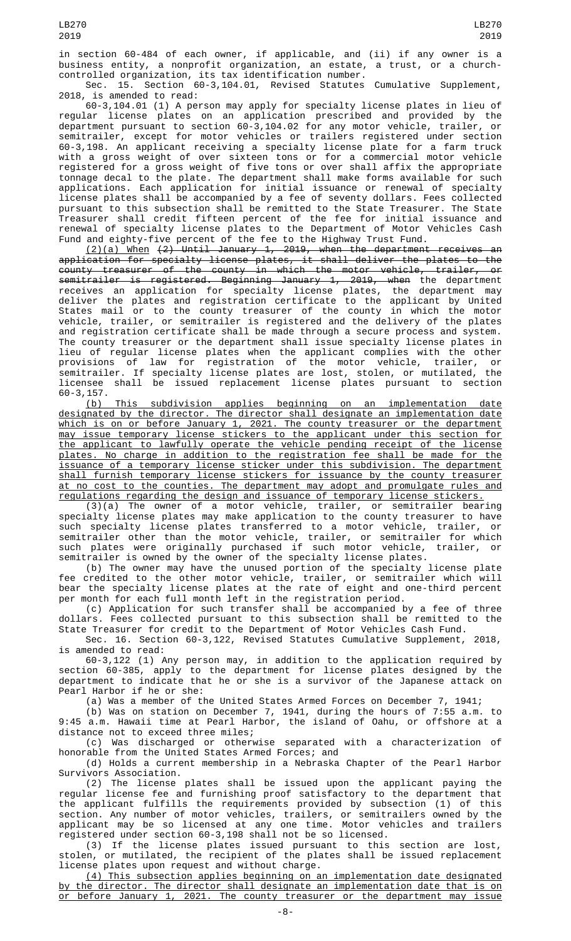in section 60-484 of each owner, if applicable, and (ii) if any owner is a business entity, a nonprofit organization, an estate, a trust, or a churchcontrolled organization, its tax identification number.

Sec. 15. Section 60-3,104.01, Revised Statutes Cumulative Supplement, 2018, is amended to read:

60-3,104.01 (1) A person may apply for specialty license plates in lieu of regular license plates on an application prescribed and provided by the department pursuant to section 60-3,104.02 for any motor vehicle, trailer, or semitrailer, except for motor vehicles or trailers registered under section 60-3,198. An applicant receiving a specialty license plate for a farm truck with a gross weight of over sixteen tons or for a commercial motor vehicle registered for a gross weight of five tons or over shall affix the appropriate tonnage decal to the plate. The department shall make forms available for such applications. Each application for initial issuance or renewal of specialty license plates shall be accompanied by a fee of seventy dollars. Fees collected pursuant to this subsection shall be remitted to the State Treasurer. The State Treasurer shall credit fifteen percent of the fee for initial issuance and renewal of specialty license plates to the Department of Motor Vehicles Cash Fund and eighty-five percent of the fee to the Highway Trust Fund.

(2)(a) When (2) Until January 1, 2019, when the department receives an application for specialty license plates, it shall deliver the plates to the county treasurer of the county in which the motor vehicle, trailer, or semitrailer is registered. Beginning January 1, 2019, when the department receives an application for specialty license plates, the department may deliver the plates and registration certificate to the applicant by United States mail or to the county treasurer of the county in which the motor vehicle, trailer, or semitrailer is registered and the delivery of the plates and registration certificate shall be made through a secure process and system. The county treasurer or the department shall issue specialty license plates in lieu of regular license plates when the applicant complies with the other provisions of law for registration of the motor vehicle, trailer, or semitrailer. If specialty license plates are lost, stolen, or mutilated, the licensee shall be issued replacement license plates pursuant to section 60-3,157.

(b) This subdivision applies beginning on an implementation date designated by the director. The director shall designate an implementation date which is on or before January 1, 2021. The county treasurer or the department may issue temporary license stickers to the applicant under this section for the applicant to lawfully operate the vehicle pending receipt of the license plates. No charge in addition to the registration fee shall be made for the issuance of a temporary license sticker under this subdivision. The department shall furnish temporary license stickers for issuance by the county treasurer at no cost to the counties. The department may adopt and promulgate rules and regulations regarding the design and issuance of temporary license stickers.

(3)(a) The owner of a motor vehicle, trailer, or semitrailer bearing specialty license plates may make application to the county treasurer to have such specialty license plates transferred to a motor vehicle, trailer, or semitrailer other than the motor vehicle, trailer, or semitrailer for which such plates were originally purchased if such motor vehicle, trailer, or semitrailer is owned by the owner of the specialty license plates.

(b) The owner may have the unused portion of the specialty license plate fee credited to the other motor vehicle, trailer, or semitrailer which will bear the specialty license plates at the rate of eight and one-third percent per month for each full month left in the registration period.

(c) Application for such transfer shall be accompanied by a fee of three dollars. Fees collected pursuant to this subsection shall be remitted to the State Treasurer for credit to the Department of Motor Vehicles Cash Fund.

Sec. 16. Section 60-3,122, Revised Statutes Cumulative Supplement, 2018, is amended to read:

60-3,122 (1) Any person may, in addition to the application required by section 60-385, apply to the department for license plates designed by the department to indicate that he or she is a survivor of the Japanese attack on Pearl Harbor if he or she:

(a) Was a member of the United States Armed Forces on December 7, 1941;

(b) Was on station on December 7, 1941, during the hours of 7:55 a.m. to 9:45 a.m. Hawaii time at Pearl Harbor, the island of Oahu, or offshore at a distance not to exceed three miles;

(c) Was discharged or otherwise separated with a characterization of honorable from the United States Armed Forces; and

(d) Holds a current membership in a Nebraska Chapter of the Pearl Harbor Survivors Association.

(2) The license plates shall be issued upon the applicant paying the regular license fee and furnishing proof satisfactory to the department that the applicant fulfills the requirements provided by subsection (1) of this section. Any number of motor vehicles, trailers, or semitrailers owned by the applicant may be so licensed at any one time. Motor vehicles and trailers registered under section 60-3,198 shall not be so licensed.

(3) If the license plates issued pursuant to this section are lost, stolen, or mutilated, the recipient of the plates shall be issued replacement license plates upon request and without charge.

(4) This subsection applies beginning on an implementation date designated by the director. The director shall designate an implementation date that is on or before January 1, 2021. The county treasurer or the department may issue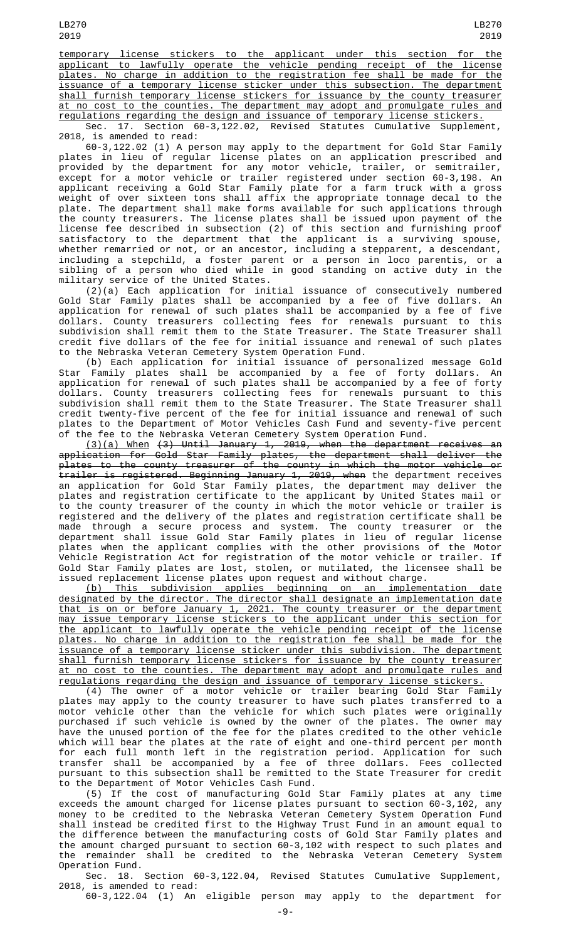temporary license stickers to the applicant under this section for the applicant to lawfully operate the vehicle pending receipt of the license plates. No charge in addition to the registration fee shall be made for the issuance of a temporary license sticker under this subsection. The department shall furnish temporary license stickers for issuance by the county treasurer at no cost to the counties. The department may adopt and promulgate rules and regulations regarding the design and issuance of temporary license stickers.<br>Sec. 17. Section 60-3,122.02, Revised Statutes Cumulative Suppleme

Revised Statutes Cumulative Supplement, 2018, is amended to read:

60-3,122.02 (1) A person may apply to the department for Gold Star Family plates in lieu of regular license plates on an application prescribed and provided by the department for any motor vehicle, trailer, or semitrailer, except for a motor vehicle or trailer registered under section 60-3,198. An applicant receiving a Gold Star Family plate for a farm truck with a gross weight of over sixteen tons shall affix the appropriate tonnage decal to the plate. The department shall make forms available for such applications through the county treasurers. The license plates shall be issued upon payment of the license fee described in subsection (2) of this section and furnishing proof satisfactory to the department that the applicant is a surviving spouse, whether remarried or not, or an ancestor, including a stepparent, a descendant, including a stepchild, a foster parent or a person in loco parentis, or a sibling of a person who died while in good standing on active duty in the military service of the United States.

(2)(a) Each application for initial issuance of consecutively numbered Gold Star Family plates shall be accompanied by a fee of five dollars. An application for renewal of such plates shall be accompanied by a fee of five dollars. County treasurers collecting fees for renewals pursuant to this subdivision shall remit them to the State Treasurer. The State Treasurer shall credit five dollars of the fee for initial issuance and renewal of such plates to the Nebraska Veteran Cemetery System Operation Fund.

(b) Each application for initial issuance of personalized message Gold Star Family plates shall be accompanied by a fee of forty dollars. An application for renewal of such plates shall be accompanied by a fee of forty dollars. County treasurers collecting fees for renewals pursuant to this subdivision shall remit them to the State Treasurer. The State Treasurer shall credit twenty-five percent of the fee for initial issuance and renewal of such plates to the Department of Motor Vehicles Cash Fund and seventy-five percent of the fee to the Nebraska Veteran Cemetery System Operation Fund.

(3)(a) When (3) Until January 1, 2019, when the department receives an application for Gold Star Family plates, the department shall deliver the plates to the county treasurer of the county in which the motor vehicle or trailer is registered. Beginning January 1, 2019, when the department receives an application for Gold Star Family plates, the department may deliver the plates and registration certificate to the applicant by United States mail or to the county treasurer of the county in which the motor vehicle or trailer is registered and the delivery of the plates and registration certificate shall be made through a secure process and system. The county treasurer or the department shall issue Gold Star Family plates in lieu of regular license plates when the applicant complies with the other provisions of the Motor Vehicle Registration Act for registration of the motor vehicle or trailer. If Gold Star Family plates are lost, stolen, or mutilated, the licensee shall be issued replacement license plates upon request and without charge.

(b) This subdivision applies beginning on an implementation date designated by the director. The director shall designate an implementation date that is on or before January 1, 2021. The county treasurer or the department may issue temporary license stickers to the applicant under this section for the applicant to lawfully operate the vehicle pending receipt of the license plates. No charge in addition to the registration fee shall be made for the issuance of a temporary license sticker under this subdivision. The department shall furnish temporary license stickers for issuance by the county treasurer at no cost to the counties. The department may adopt and promulgate rules and regulations regarding the design and issuance of temporary license stickers.

(4) The owner of a motor vehicle or trailer bearing Gold Star Family plates may apply to the county treasurer to have such plates transferred to a motor vehicle other than the vehicle for which such plates were originally purchased if such vehicle is owned by the owner of the plates. The owner may have the unused portion of the fee for the plates credited to the other vehicle which will bear the plates at the rate of eight and one-third percent per month for each full month left in the registration period. Application for such transfer shall be accompanied by a fee of three dollars. Fees collected pursuant to this subsection shall be remitted to the State Treasurer for credit to the Department of Motor Vehicles Cash Fund.

(5) If the cost of manufacturing Gold Star Family plates at any time exceeds the amount charged for license plates pursuant to section 60-3,102, any money to be credited to the Nebraska Veteran Cemetery System Operation Fund shall instead be credited first to the Highway Trust Fund in an amount equal to the difference between the manufacturing costs of Gold Star Family plates and the amount charged pursuant to section 60-3,102 with respect to such plates and the remainder shall be credited to the Nebraska Veteran Cemetery System Operation Fund.

Sec. 18. Section 60-3,122.04, Revised Statutes Cumulative Supplement, 2018, is amended to read:

60-3,122.04 (1) An eligible person may apply to the department for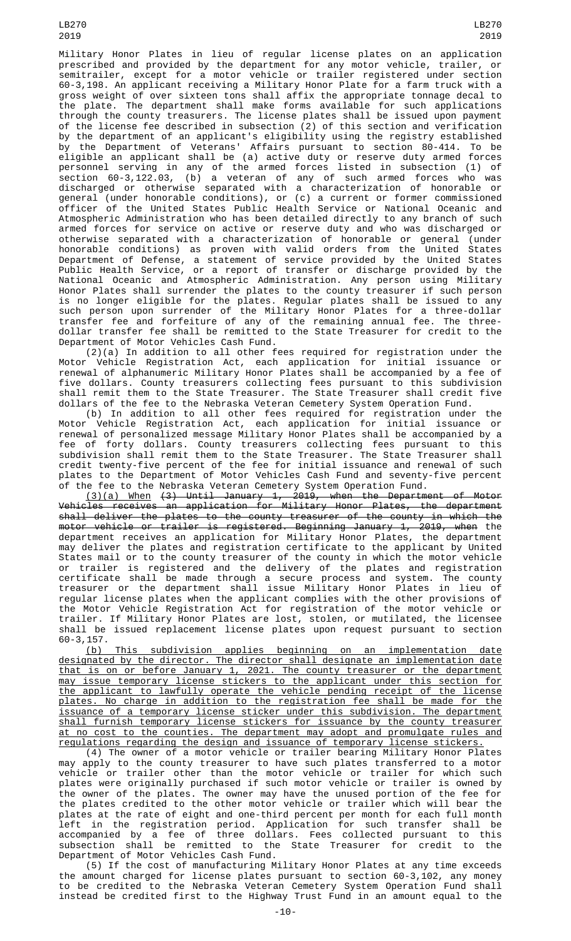Military Honor Plates in lieu of regular license plates on an application prescribed and provided by the department for any motor vehicle, trailer, or semitrailer, except for a motor vehicle or trailer registered under section 60-3,198. An applicant receiving a Military Honor Plate for a farm truck with a gross weight of over sixteen tons shall affix the appropriate tonnage decal to the plate. The department shall make forms available for such applications through the county treasurers. The license plates shall be issued upon payment of the license fee described in subsection (2) of this section and verification by the department of an applicant's eligibility using the registry established by the Department of Veterans' Affairs pursuant to section 80-414. To be eligible an applicant shall be (a) active duty or reserve duty armed forces personnel serving in any of the armed forces listed in subsection (1) of section 60-3,122.03, (b) a veteran of any of such armed forces who was discharged or otherwise separated with a characterization of honorable or general (under honorable conditions), or (c) a current or former commissioned officer of the United States Public Health Service or National Oceanic and Atmospheric Administration who has been detailed directly to any branch of such armed forces for service on active or reserve duty and who was discharged or otherwise separated with a characterization of honorable or general (under honorable conditions) as proven with valid orders from the United States Department of Defense, a statement of service provided by the United States Public Health Service, or a report of transfer or discharge provided by the National Oceanic and Atmospheric Administration. Any person using Military Honor Plates shall surrender the plates to the county treasurer if such person is no longer eligible for the plates. Regular plates shall be issued to any such person upon surrender of the Military Honor Plates for a three-dollar transfer fee and forfeiture of any of the remaining annual fee. The threedollar transfer fee shall be remitted to the State Treasurer for credit to the Department of Motor Vehicles Cash Fund.

(2)(a) In addition to all other fees required for registration under the Motor Vehicle Registration Act, each application for initial issuance or renewal of alphanumeric Military Honor Plates shall be accompanied by a fee of five dollars. County treasurers collecting fees pursuant to this subdivision shall remit them to the State Treasurer. The State Treasurer shall credit five dollars of the fee to the Nebraska Veteran Cemetery System Operation Fund.

(b) In addition to all other fees required for registration under the Motor Vehicle Registration Act, each application for initial issuance or renewal of personalized message Military Honor Plates shall be accompanied by a fee of forty dollars. County treasurers collecting fees pursuant to this subdivision shall remit them to the State Treasurer. The State Treasurer shall credit twenty-five percent of the fee for initial issuance and renewal of such plates to the Department of Motor Vehicles Cash Fund and seventy-five percent of the fee to the Nebraska Veteran Cemetery System Operation Fund.

(3)(a) When (3) Until January 1, 2019, when the Department of Motor Vehicles receives an application for Military Honor Plates, the department shall deliver the plates to the county treasurer of the county in which the motor vehicle or trailer is registered. Beginning January 1, 2019, when the department receives an application for Military Honor Plates, the department may deliver the plates and registration certificate to the applicant by United States mail or to the county treasurer of the county in which the motor vehicle or trailer is registered and the delivery of the plates and registration certificate shall be made through a secure process and system. The county treasurer or the department shall issue Military Honor Plates in lieu of regular license plates when the applicant complies with the other provisions of the Motor Vehicle Registration Act for registration of the motor vehicle or trailer. If Military Honor Plates are lost, stolen, or mutilated, the licensee shall be issued replacement license plates upon request pursuant to section 60-3,157.

(b) This subdivision applies beginning on an implementation date designated by the director. The director shall designate an implementation date that is on or before January 1, 2021. The county treasurer or the department may issue temporary license stickers to the applicant under this section for the applicant to lawfully operate the vehicle pending receipt of the license plates. No charge in addition to the registration fee shall be made for the issuance of a temporary license sticker under this subdivision. The department shall furnish temporary license stickers for issuance by the county treasurer at no cost to the counties. The department may adopt and promulgate rules and regulations regarding the design and issuance of temporary license stickers.

(4) The owner of a motor vehicle or trailer bearing Military Honor Plates may apply to the county treasurer to have such plates transferred to a motor vehicle or trailer other than the motor vehicle or trailer for which such plates were originally purchased if such motor vehicle or trailer is owned by the owner of the plates. The owner may have the unused portion of the fee for the plates credited to the other motor vehicle or trailer which will bear the plates at the rate of eight and one-third percent per month for each full month left in the registration period. Application for such transfer shall be accompanied by a fee of three dollars. Fees collected pursuant to this subsection shall be remitted to the State Treasurer for credit to the Department of Motor Vehicles Cash Fund.

(5) If the cost of manufacturing Military Honor Plates at any time exceeds the amount charged for license plates pursuant to section 60-3,102, any money to be credited to the Nebraska Veteran Cemetery System Operation Fund shall instead be credited first to the Highway Trust Fund in an amount equal to the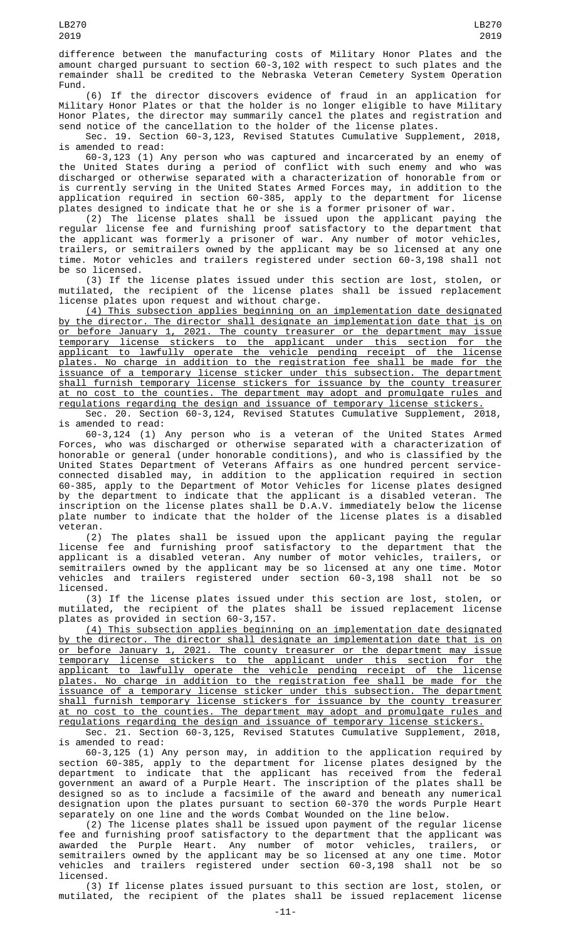difference between the manufacturing costs of Military Honor Plates and the amount charged pursuant to section 60-3,102 with respect to such plates and the remainder shall be credited to the Nebraska Veteran Cemetery System Operation Fund.

(6) If the director discovers evidence of fraud in an application for Military Honor Plates or that the holder is no longer eligible to have Military Honor Plates, the director may summarily cancel the plates and registration and send notice of the cancellation to the holder of the license plates.

Sec. 19. Section 60-3,123, Revised Statutes Cumulative Supplement, 2018, is amended to read:

60-3,123 (1) Any person who was captured and incarcerated by an enemy of the United States during a period of conflict with such enemy and who was discharged or otherwise separated with a characterization of honorable from or is currently serving in the United States Armed Forces may, in addition to the application required in section 60-385, apply to the department for license plates designed to indicate that he or she is a former prisoner of war.

(2) The license plates shall be issued upon the applicant paying the regular license fee and furnishing proof satisfactory to the department that the applicant was formerly a prisoner of war. Any number of motor vehicles, trailers, or semitrailers owned by the applicant may be so licensed at any one time. Motor vehicles and trailers registered under section 60-3,198 shall not be so licensed.

(3) If the license plates issued under this section are lost, stolen, or mutilated, the recipient of the license plates shall be issued replacement license plates upon request and without charge.

(4) This subsection applies beginning on an implementation date designated by the director. The director shall designate an implementation date that is on or before January 1, 2021. The county treasurer or the department may issue temporary license stickers to the applicant under this section for the applicant to lawfully operate the vehicle pending receipt of the license plates. No charge in addition to the registration fee shall be made for the issuance of a temporary license sticker under this subsection. The department shall furnish temporary license stickers for issuance by the county treasurer at no cost to the counties. The department may adopt and promulgate rules and regulations regarding the design and issuance of temporary license stickers.

Sec. 20. Section 60-3,124, Revised Statutes Cumulative Supplement, 2018, is amended to read:

60-3,124 (1) Any person who is a veteran of the United States Armed Forces, who was discharged or otherwise separated with a characterization of honorable or general (under honorable conditions), and who is classified by the United States Department of Veterans Affairs as one hundred percent serviceconnected disabled may, in addition to the application required in section 60-385, apply to the Department of Motor Vehicles for license plates designed by the department to indicate that the applicant is a disabled veteran. The inscription on the license plates shall be D.A.V. immediately below the license plate number to indicate that the holder of the license plates is a disabled veteran.

(2) The plates shall be issued upon the applicant paying the regular license fee and furnishing proof satisfactory to the department that the applicant is a disabled veteran. Any number of motor vehicles, trailers, or semitrailers owned by the applicant may be so licensed at any one time. Motor vehicles and trailers registered under section 60-3,198 shall not be so licensed.

(3) If the license plates issued under this section are lost, stolen, or mutilated, the recipient of the plates shall be issued replacement license plates as provided in section 60-3,157.

(4) This subsection applies beginning on an implementation date designated by the director. The director shall designate an implementation date that is on or before January 1, 2021. The county treasurer or the department may issue temporary license stickers to the applicant under this section for the applicant to lawfully operate the vehicle pending receipt of the license plates. No charge in addition to the registration fee shall be made for the issuance of a temporary license sticker under this subsection. The department shall furnish temporary license stickers for issuance by the county treasurer at no cost to the counties. The department may adopt and promulgate rules and regulations regarding the design and issuance of temporary license stickers.

Sec. 21. Section 60-3,125, Revised Statutes Cumulative Supplement, 2018, is amended to read:

60-3,125 (1) Any person may, in addition to the application required by section 60-385, apply to the department for license plates designed by the department to indicate that the applicant has received from the federal government an award of a Purple Heart. The inscription of the plates shall be designed so as to include a facsimile of the award and beneath any numerical designation upon the plates pursuant to section 60-370 the words Purple Heart separately on one line and the words Combat Wounded on the line below.

(2) The license plates shall be issued upon payment of the regular license fee and furnishing proof satisfactory to the department that the applicant was awarded the Purple Heart. Any number of motor vehicles, trailers, or semitrailers owned by the applicant may be so licensed at any one time. Motor vehicles and trailers registered under section 60-3,198 shall not be so licensed.

(3) If license plates issued pursuant to this section are lost, stolen, or mutilated, the recipient of the plates shall be issued replacement license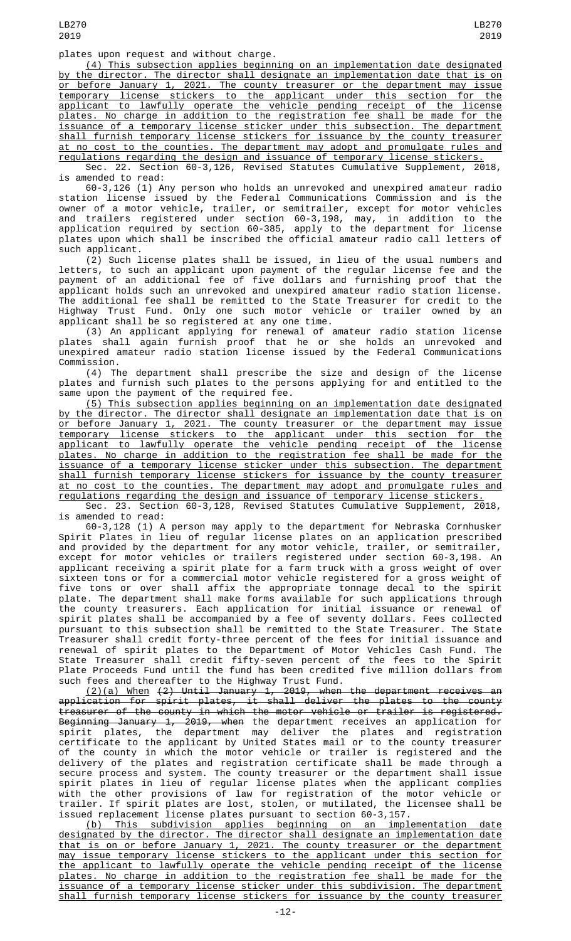plates upon request and without charge.

(4) This subsection applies beginning on an implementation date designated the director. The director shall designate an implementation date that is on or before January 1, 2021. The county treasurer or the department may issue temporary license stickers to the applicant under this section for the applicant to lawfully operate the vehicle pending receipt of the license plates. No charge in addition to the registration fee shall be made for the issuance of a temporary license sticker under this subsection. The department shall furnish temporary license stickers for issuance by the county treasurer at no cost to the counties. The department may adopt and promulgate rules and regulations regarding the design and issuance of temporary license stickers.

Sec. 22. Section 60-3,126, Revised Statutes Cumulative Supplement, 2018, is amended to read:

60-3,126 (1) Any person who holds an unrevoked and unexpired amateur radio station license issued by the Federal Communications Commission and is the owner of a motor vehicle, trailer, or semitrailer, except for motor vehicles and trailers registered under section 60-3,198, may, in addition to the application required by section 60-385, apply to the department for license plates upon which shall be inscribed the official amateur radio call letters of such applicant.

(2) Such license plates shall be issued, in lieu of the usual numbers and letters, to such an applicant upon payment of the regular license fee and the payment of an additional fee of five dollars and furnishing proof that the applicant holds such an unrevoked and unexpired amateur radio station license. The additional fee shall be remitted to the State Treasurer for credit to the Highway Trust Fund. Only one such motor vehicle or trailer owned by an applicant shall be so registered at any one time.

(3) An applicant applying for renewal of amateur radio station license plates shall again furnish proof that he or she holds an unrevoked and unexpired amateur radio station license issued by the Federal Communications Commission.

(4) The department shall prescribe the size and design of the license plates and furnish such plates to the persons applying for and entitled to the same upon the payment of the required fee.

(5) This subsection applies beginning on an implementation date designated by the director. The director shall designate an implementation date that is on or before January 1, 2021. The county treasurer or the department may issue temporary license stickers to the applicant under this section for the applicant to lawfully operate the vehicle pending receipt of the license plates. No charge in addition to the registration fee shall be made for the issuance of a temporary license sticker under this subsection. The department shall furnish temporary license stickers for issuance by the county treasurer at no cost to the counties. The department may adopt and promulgate rules and regulations regarding the design and issuance of temporary license stickers.

Sec. 23. Section 60-3,128, Revised Statutes Cumulative Supplement, 2018, is amended to read:

60-3,128 (1) A person may apply to the department for Nebraska Cornhusker Spirit Plates in lieu of regular license plates on an application prescribed and provided by the department for any motor vehicle, trailer, or semitrailer, except for motor vehicles or trailers registered under section 60-3,198. An applicant receiving a spirit plate for a farm truck with a gross weight of over sixteen tons or for a commercial motor vehicle registered for a gross weight of five tons or over shall affix the appropriate tonnage decal to the spirit plate. The department shall make forms available for such applications through the county treasurers. Each application for initial issuance or renewal of spirit plates shall be accompanied by a fee of seventy dollars. Fees collected pursuant to this subsection shall be remitted to the State Treasurer. The State Treasurer shall credit forty-three percent of the fees for initial issuance and renewal of spirit plates to the Department of Motor Vehicles Cash Fund. The State Treasurer shall credit fifty-seven percent of the fees to the Spirit Plate Proceeds Fund until the fund has been credited five million dollars from such fees and thereafter to the Highway Trust Fund.

(2)(a) When (2) Until January 1, 2019, when the department receives an application for spirit plates, it shall deliver the plates to the county treasurer of the county in which the motor vehicle or trailer is registered. <del>Beginning January 1, 2019, when</del> the department receives an application for spirit plates, the department may deliver the plates and registration certificate to the applicant by United States mail or to the county treasurer of the county in which the motor vehicle or trailer is registered and the delivery of the plates and registration certificate shall be made through a secure process and system. The county treasurer or the department shall issue spirit plates in lieu of regular license plates when the applicant complies with the other provisions of law for registration of the motor vehicle or trailer. If spirit plates are lost, stolen, or mutilated, the licensee shall be issued replacement license plates pursuant to section 60-3,157.

(b) This subdivision applies beginning on an implementation date designated by the director. The director shall designate an implementation date that is on or before January 1, 2021. The county treasurer or the department may issue temporary license stickers to the applicant under this section for the applicant to lawfully operate the vehicle pending receipt of the license plates. No charge in addition to the registration fee shall be made for the issuance of a temporary license sticker under this subdivision. The department shall furnish temporary license stickers for issuance by the county treasurer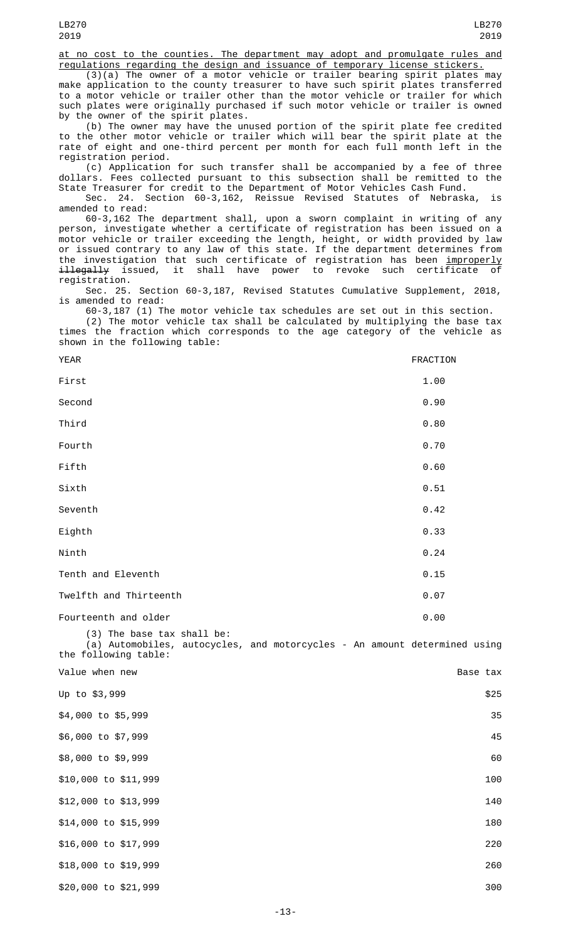at no cost to the counties. The department may adopt and promulgate rules and regulations regarding the design and issuance of temporary license stickers.

(3)(a) The owner of a motor vehicle or trailer bearing spirit plates may make application to the county treasurer to have such spirit plates transferred to a motor vehicle or trailer other than the motor vehicle or trailer for which such plates were originally purchased if such motor vehicle or trailer is owned by the owner of the spirit plates.

(b) The owner may have the unused portion of the spirit plate fee credited to the other motor vehicle or trailer which will bear the spirit plate at the rate of eight and one-third percent per month for each full month left in the registration period.

(c) Application for such transfer shall be accompanied by a fee of three dollars. Fees collected pursuant to this subsection shall be remitted to the State Treasurer for credit to the Department of Motor Vehicles Cash Fund.

Sec. 24. Section 60-3,162, Reissue Revised Statutes of Nebraska, is amended to read:

60-3,162 The department shall, upon a sworn complaint in writing of any person, investigate whether a certificate of registration has been issued on a motor vehicle or trailer exceeding the length, height, or width provided by law or issued contrary to any law of this state. If the department determines from the investigation that such certificate of registration has been <u>improperly</u> illegally issued, it shall have power to revoke such certificate of registration.

Sec. 25. Section 60-3,187, Revised Statutes Cumulative Supplement, 2018, is amended to read:

60-3,187 (1) The motor vehicle tax schedules are set out in this section. (2) The motor vehicle tax shall be calculated by multiplying the base tax times the fraction which corresponds to the age category of the vehicle as shown in the following table:

| <b>YEAR</b>            | FRACTION |
|------------------------|----------|
| First                  | 1.00     |
| Second                 | 0.90     |
| Third                  | 0.80     |
| Fourth                 | 0.70     |
| Fifth                  | 0.60     |
| Sixth                  | 0.51     |
| Seventh                | 0.42     |
| Eighth                 | 0.33     |
| Ninth                  | 0.24     |
| Tenth and Eleventh     | 0.15     |
| Twelfth and Thirteenth | 0.07     |
| Fourteenth and older   | 0.00     |

(3) The base tax shall be: (a) Automobiles, autocycles, and motorcycles - An amount determined using the following table:

| Value when new       | Base tax |      |
|----------------------|----------|------|
| Up to \$3,999        |          | \$25 |
| \$4,000 to \$5,999   |          | 35   |
| \$6,000 to \$7,999   |          | 45   |
| \$8,000 to \$9,999   |          | 60   |
| \$10,000 to \$11,999 |          | 100  |
| \$12,000 to \$13,999 |          | 140  |
| \$14,000 to \$15,999 |          | 180  |
| \$16,000 to \$17,999 |          | 220  |
| \$18,000 to \$19,999 |          | 260  |
| \$20,000 to \$21,999 |          | 300  |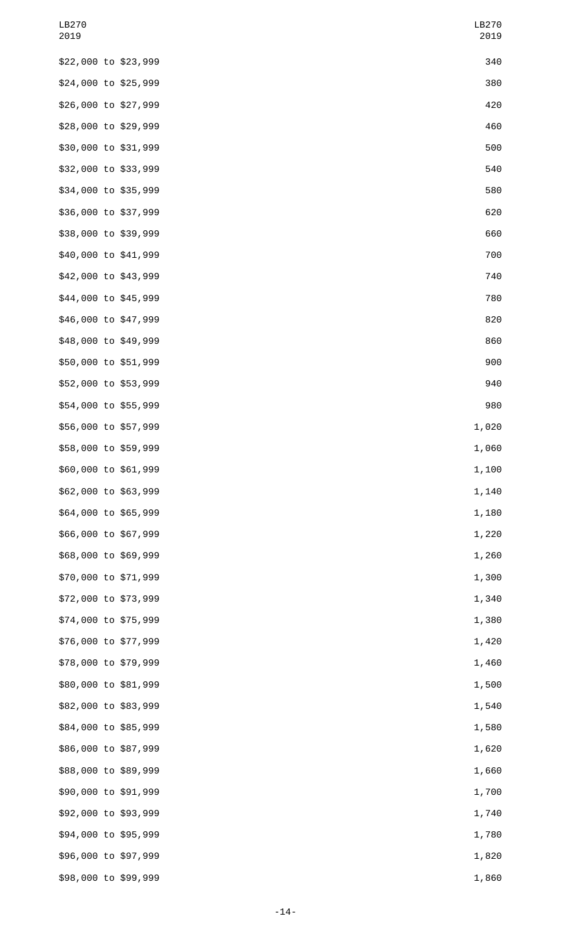| LB270<br>2019        |  | LB270<br>2019 |
|----------------------|--|---------------|
| \$22,000 to \$23,999 |  | 340           |
| \$24,000 to \$25,999 |  | 380           |
| \$26,000 to \$27,999 |  | 420           |
| \$28,000 to \$29,999 |  | 460           |
| \$30,000 to \$31,999 |  | 500           |
| \$32,000 to \$33,999 |  | 540           |
| \$34,000 to \$35,999 |  | 580           |
| \$36,000 to \$37,999 |  | 620           |
| \$38,000 to \$39,999 |  | 660           |
| \$40,000 to \$41,999 |  | 700           |
| \$42,000 to \$43,999 |  | 740           |
| \$44,000 to \$45,999 |  | 780           |
| \$46,000 to \$47,999 |  | 820           |
| \$48,000 to \$49,999 |  | 860           |
| \$50,000 to \$51,999 |  | 900           |
| \$52,000 to \$53,999 |  | 940           |
| \$54,000 to \$55,999 |  | 980           |
| \$56,000 to \$57,999 |  | 1,020         |
| \$58,000 to \$59,999 |  | 1,060         |
| \$60,000 to \$61,999 |  | 1,100         |
| \$62,000 to \$63,999 |  | 1,140         |
| \$64,000 to \$65,999 |  | 1,180         |
| \$66,000 to \$67,999 |  | 1,220         |
| \$68,000 to \$69,999 |  | 1,260         |
| \$70,000 to \$71,999 |  | 1,300         |
| \$72,000 to \$73,999 |  | 1,340         |
| \$74,000 to \$75,999 |  | 1,380         |
| \$76,000 to \$77,999 |  | 1,420         |
| \$78,000 to \$79,999 |  | 1,460         |
| \$80,000 to \$81,999 |  | 1,500         |
| \$82,000 to \$83,999 |  | 1,540         |
| \$84,000 to \$85,999 |  | 1,580         |
| \$86,000 to \$87,999 |  | 1,620         |
| \$88,000 to \$89,999 |  | 1,660         |
| \$90,000 to \$91,999 |  | 1,700         |
| \$92,000 to \$93,999 |  | 1,740         |
| \$94,000 to \$95,999 |  | 1,780         |
| \$96,000 to \$97,999 |  | 1,820         |
| \$98,000 to \$99,999 |  | 1,860         |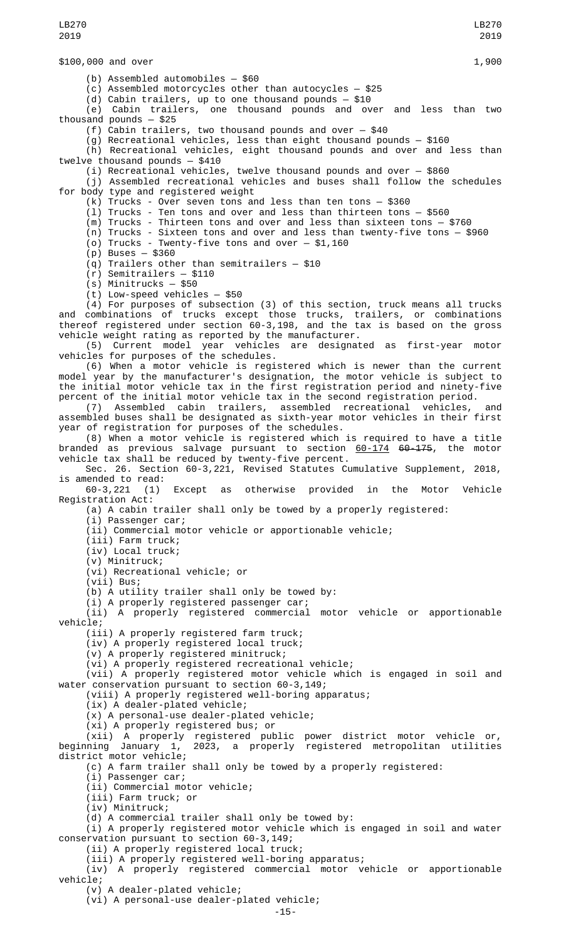\$100,000 and over 1,900 (b) Assembled automobiles — \$60 (c) Assembled motorcycles other than autocycles — \$25 (d) Cabin trailers, up to one thousand pounds — \$10 (e) Cabin trailers, one thousand pounds and over and less than two thousand pounds — \$25 (f) Cabin trailers, two thousand pounds and over — \$40 (g) Recreational vehicles, less than eight thousand pounds — \$160 (h) Recreational vehicles, eight thousand pounds and over and less than twelve thousand pounds — \$410 (i) Recreational vehicles, twelve thousand pounds and over — \$860 (j) Assembled recreational vehicles and buses shall follow the schedules for body type and registered weight (k) Trucks - Over seven tons and less than ten tons — \$360 (l) Trucks - Ten tons and over and less than thirteen tons — \$560  $\overline{m}$ ) Trucks - Thirteen tons and over and less than sixteen tons - \$760 (n) Trucks - Sixteen tons and over and less than twenty-five tons — \$960 (o) Trucks - Twenty-five tons and over — \$1,160 (p) Buses — \$360 (q) Trailers other than semitrailers — \$10 (r) Semitrailers — \$110 (s) Minitrucks — \$50 (t) Low-speed vehicles — \$50  $(4)$  For purposes of subsection (3) of this section, truck means all trucks and combinations of trucks except those trucks, trailers, or combinations thereof registered under section 60-3,198, and the tax is based on the gross vehicle weight rating as reported by the manufacturer. (5) Current model year vehicles are designated as first-year motor vehicles for purposes of the schedules. (6) When a motor vehicle is registered which is newer than the current model year by the manufacturer's designation, the motor vehicle is subject to the initial motor vehicle tax in the first registration period and ninety-five percent of the initial motor vehicle tax in the second registration period. (7) Assembled cabin trailers, assembled recreational vehicles, and assembled buses shall be designated as sixth-year motor vehicles in their first year of registration for purposes of the schedules. (8) When a motor vehicle is registered which is required to have a title branded as previous salvage pursuant to section 60-174 60-175, the motor vehicle tax shall be reduced by twenty-five percent. Sec. 26. Section 60-3,221, Revised Statutes Cumulative Supplement, 2018, is amended to read:<br>60-3,221 (1) Except as otherwise provided in the Motor Vehicle Registration Act: (a) A cabin trailer shall only be towed by a properly registered: (i) Passenger car; (ii) Commercial motor vehicle or apportionable vehicle; (iii) Farm truck; (iv) Local truck; (v) Minitruck; (vi) Recreational vehicle; or (vii) Bus; (b) A utility trailer shall only be towed by: (i) A properly registered passenger car; (ii) A properly registered commercial motor vehicle or apportionable vehicle; (iii) A properly registered farm truck; (iv) A properly registered local truck; (v) A properly registered minitruck; (vi) A properly registered recreational vehicle; (vii) A properly registered motor vehicle which is engaged in soil and water conservation pursuant to section 60-3,149; (viii) A properly registered well-boring apparatus; (ix) A dealer-plated vehicle; (x) A personal-use dealer-plated vehicle; (xi) A properly registered bus; or (xii) A properly registered public power district motor vehicle or, beginning January 1, 2023, a properly registered metropolitan utilities district motor vehicle; (c) A farm trailer shall only be towed by a properly registered: (i) Passenger car; (ii) Commercial motor vehicle; (iii) Farm truck; or (iv) Minitruck; (d) A commercial trailer shall only be towed by: (i) A properly registered motor vehicle which is engaged in soil and water conservation pursuant to section 60-3,149; (ii) A properly registered local truck; (iii) A properly registered well-boring apparatus; (iv) A properly registered commercial motor vehicle or apportionable LB270 2019 LB270 2019

vehicle;

(v) A dealer-plated vehicle; (vi) A personal-use dealer-plated vehicle;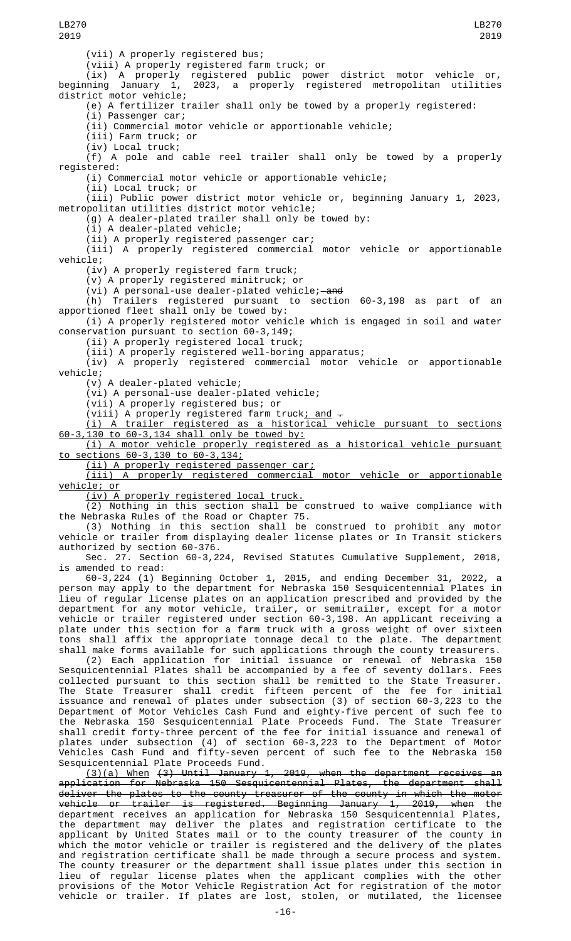(vii) A properly registered bus; (viii) A properly registered farm truck; or (ix) A properly registered public power district motor vehicle or, beginning January 1, 2023, a properly registered metropolitan utilities district motor vehicle; (e) A fertilizer trailer shall only be towed by a properly registered: (i) Passenger car; (ii) Commercial motor vehicle or apportionable vehicle; (iii) Farm truck; or (iv) Local truck; (f) A pole and cable reel trailer shall only be towed by a properly registered: (i) Commercial motor vehicle or apportionable vehicle; (ii) Local truck; or (iii) Public power district motor vehicle or, beginning January 1, 2023, metropolitan utilities district motor vehicle; (g) A dealer-plated trailer shall only be towed by: (i) A dealer-plated vehicle; (ii) A properly registered passenger car; (iii) A properly registered commercial motor vehicle or apportionable vehicle; (iv) A properly registered farm truck; (v) A properly registered minitruck; or (vi) A personal-use dealer-plated vehicle;—<del>and</del><br>(h) Trailers registered pursuant to sectio Trailers registered pursuant to section 60-3,198 as part of an apportioned fleet shall only be towed by: (i) A properly registered motor vehicle which is engaged in soil and water conservation pursuant to section 60-3,149; (ii) A properly registered local truck; (iii) A properly registered well-boring apparatus; (iv) A properly registered commercial motor vehicle or apportionable vehicle; (v) A dealer-plated vehicle; (vi) A personal-use dealer-plated vehicle; (vii) A properly registered bus; or  $(viii)$  A properly registered farm truck; and  $-$ (i) A trailer registered as a historical vehicle pursuant to sections 60-3,130 to 60-3,134 shall only be towed by: (i) A motor vehicle properly registered as a historical vehicle pursuant to sections 60-3,130 to 60-3,134; (ii) A properly registered passenger car; (iii) A properly registered commercial motor vehicle or apportionable vehicle; or (iv) A properly registered local truck. (2) Nothing in this section shall be construed to waive compliance with the Nebraska Rules of the Road or Chapter 75. (3) Nothing in this section shall be construed to prohibit any motor vehicle or trailer from displaying dealer license plates or In Transit stickers authorized by section 60-376. Sec. 27. Section 60-3,224, Revised Statutes Cumulative Supplement, 2018, is amended to read: 60-3,224 (1) Beginning October 1, 2015, and ending December 31, 2022, a person may apply to the department for Nebraska 150 Sesquicentennial Plates in lieu of regular license plates on an application prescribed and provided by the department for any motor vehicle, trailer, or semitrailer, except for a motor vehicle or trailer registered under section 60-3,198. An applicant receiving a plate under this section for a farm truck with a gross weight of over sixteen tons shall affix the appropriate tonnage decal to the plate. The department shall make forms available for such applications through the county treasurers. (2) Each application for initial issuance or renewal of Nebraska 150 Sesquicentennial Plates shall be accompanied by a fee of seventy dollars. Fees collected pursuant to this section shall be remitted to the State Treasurer. The State Treasurer shall credit fifteen percent of the fee for initial LB270 2019 LB270 2019

issuance and renewal of plates under subsection (3) of section 60-3,223 to the Department of Motor Vehicles Cash Fund and eighty-five percent of such fee to the Nebraska 150 Sesquicentennial Plate Proceeds Fund. The State Treasurer shall credit forty-three percent of the fee for initial issuance and renewal of plates under subsection (4) of section 60-3,223 to the Department of Motor Vehicles Cash Fund and fifty-seven percent of such fee to the Nebraska 150 Sesquicentennial Plate Proceeds Fund.

(3)(a) When (3) Until January 1, 2019, when the department receives an application for Nebraska 150 Sesquicentennial Plates, the department shall deliver the plates to the county treasurer of the county in which the motor vehicle or trailer is registered. Beginning January 1, 2019, when the department receives an application for Nebraska 150 Sesquicentennial Plates, the department may deliver the plates and registration certificate to the applicant by United States mail or to the county treasurer of the county in which the motor vehicle or trailer is registered and the delivery of the plates and registration certificate shall be made through a secure process and system. The county treasurer or the department shall issue plates under this section in lieu of regular license plates when the applicant complies with the other provisions of the Motor Vehicle Registration Act for registration of the motor vehicle or trailer. If plates are lost, stolen, or mutilated, the licensee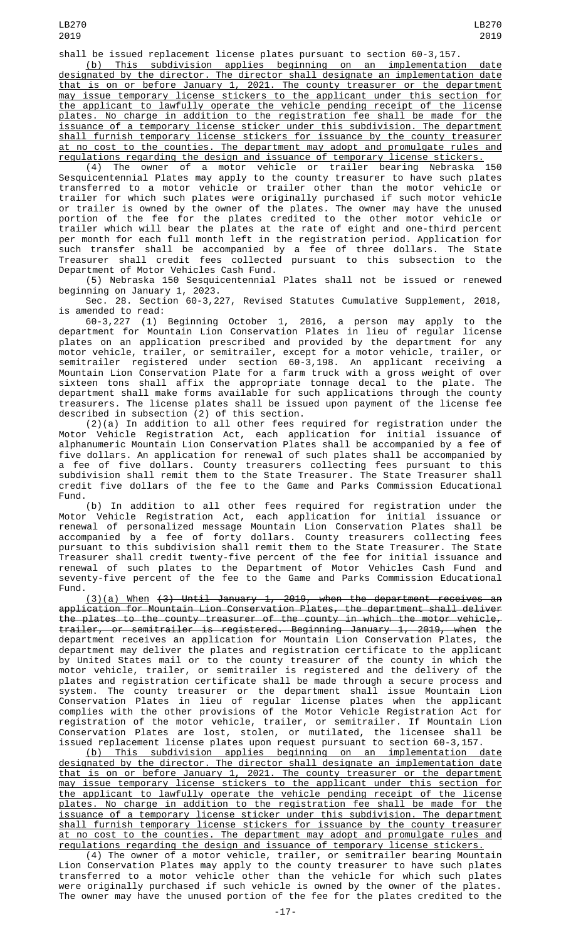(b) This subdivision applies beginning on an implementation date designated by the director. The director shall designate an implementation date that is on or before January 1, 2021. The county treasurer or the department may issue temporary license stickers to the applicant under this section for the applicant to lawfully operate the vehicle pending receipt of the license plates. No charge in addition to the registration fee shall be made for the issuance of a temporary license sticker under this subdivision. The department shall furnish temporary license stickers for issuance by the county treasurer at no cost to the counties. The department may adopt and promulgate rules and regulations regarding the design and issuance of temporary license stickers.

(4) The owner of a motor vehicle or trailer bearing Nebraska 150 Sesquicentennial Plates may apply to the county treasurer to have such plates transferred to a motor vehicle or trailer other than the motor vehicle or trailer for which such plates were originally purchased if such motor vehicle or trailer is owned by the owner of the plates. The owner may have the unused portion of the fee for the plates credited to the other motor vehicle or trailer which will bear the plates at the rate of eight and one-third percent per month for each full month left in the registration period. Application for such transfer shall be accompanied by a fee of three dollars. The State Treasurer shall credit fees collected pursuant to this subsection to the Department of Motor Vehicles Cash Fund.

(5) Nebraska 150 Sesquicentennial Plates shall not be issued or renewed beginning on January 1, 2023.

Sec. 28. Section 60-3,227, Revised Statutes Cumulative Supplement, 2018, is amended to read:

60-3,227 (1) Beginning October 1, 2016, a person may apply to the department for Mountain Lion Conservation Plates in lieu of regular license plates on an application prescribed and provided by the department for any motor vehicle, trailer, or semitrailer, except for a motor vehicle, trailer, or semitrailer registered under section 60-3,198. An applicant receiving a Mountain Lion Conservation Plate for a farm truck with a gross weight of over sixteen tons shall affix the appropriate tonnage decal to the plate. The department shall make forms available for such applications through the county treasurers. The license plates shall be issued upon payment of the license fee described in subsection (2) of this section.

(2)(a) In addition to all other fees required for registration under the Motor Vehicle Registration Act, each application for initial issuance of alphanumeric Mountain Lion Conservation Plates shall be accompanied by a fee of five dollars. An application for renewal of such plates shall be accompanied by a fee of five dollars. County treasurers collecting fees pursuant to this subdivision shall remit them to the State Treasurer. The State Treasurer shall credit five dollars of the fee to the Game and Parks Commission Educational Fund.

(b) In addition to all other fees required for registration under the Motor Vehicle Registration Act, each application for initial issuance or renewal of personalized message Mountain Lion Conservation Plates shall be accompanied by a fee of forty dollars. County treasurers collecting fees pursuant to this subdivision shall remit them to the State Treasurer. The State Treasurer shall credit twenty-five percent of the fee for initial issuance and renewal of such plates to the Department of Motor Vehicles Cash Fund and seventy-five percent of the fee to the Game and Parks Commission Educational Fund.

(3)(a) When (3) Until January 1, 2019, when the department receives an application for Mountain Lion Conservation Plates, the department shall deliver the plates to the county treasurer of the county in which the motor vehicle, trailer, or semitrailer is registered. Beginning January 1, 2019, when the department receives an application for Mountain Lion Conservation Plates, the department may deliver the plates and registration certificate to the applicant by United States mail or to the county treasurer of the county in which the motor vehicle, trailer, or semitrailer is registered and the delivery of the plates and registration certificate shall be made through a secure process and system. The county treasurer or the department shall issue Mountain Lion Conservation Plates in lieu of regular license plates when the applicant complies with the other provisions of the Motor Vehicle Registration Act for registration of the motor vehicle, trailer, or semitrailer. If Mountain Lion Conservation Plates are lost, stolen, or mutilated, the licensee shall be issued replacement license plates upon request pursuant to section 60-3,157.

(b) This subdivision applies beginning on an implementation date designated by the director. The director shall designate an implementation date that is on or before January 1, 2021. The county treasurer or the department may issue temporary license stickers to the applicant under this section for the applicant to lawfully operate the vehicle pending receipt of the license plates. No charge in addition to the registration fee shall be made for the issuance of a temporary license sticker under this subdivision. The department shall furnish temporary license stickers for issuance by the county treasurer at no cost to the counties. The department may adopt and promulgate rules and regulations regarding the design and issuance of temporary license stickers.

(4) The owner of a motor vehicle, trailer, or semitrailer bearing Mountain Lion Conservation Plates may apply to the county treasurer to have such plates transferred to a motor vehicle other than the vehicle for which such plates were originally purchased if such vehicle is owned by the owner of the plates. The owner may have the unused portion of the fee for the plates credited to the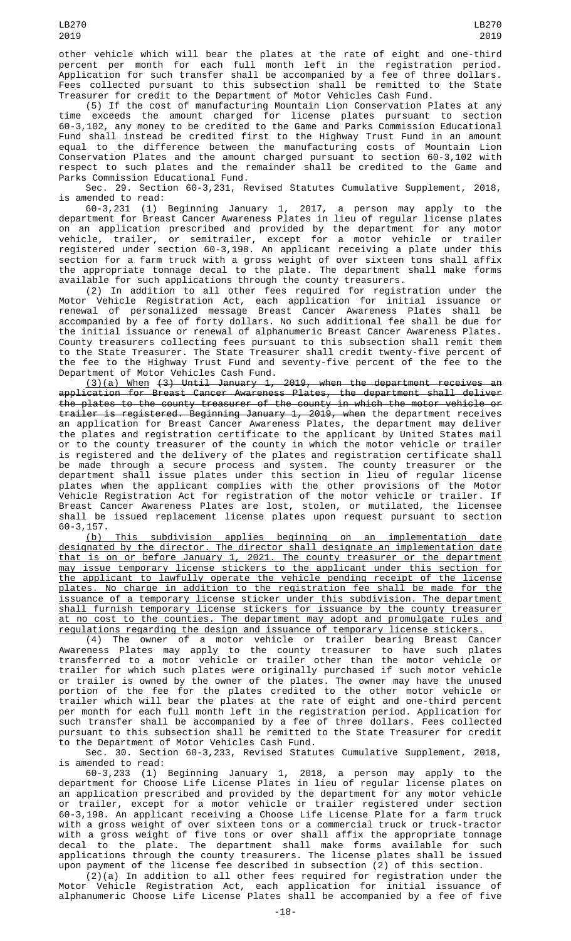other vehicle which will bear the plates at the rate of eight and one-third percent per month for each full month left in the registration period. Application for such transfer shall be accompanied by a fee of three dollars. Fees collected pursuant to this subsection shall be remitted to the State Treasurer for credit to the Department of Motor Vehicles Cash Fund.

(5) If the cost of manufacturing Mountain Lion Conservation Plates at any time exceeds the amount charged for license plates pursuant to section 60-3,102, any money to be credited to the Game and Parks Commission Educational Fund shall instead be credited first to the Highway Trust Fund in an amount equal to the difference between the manufacturing costs of Mountain Lion Conservation Plates and the amount charged pursuant to section 60-3,102 with respect to such plates and the remainder shall be credited to the Game and Parks Commission Educational Fund.

Sec. 29. Section 60-3,231, Revised Statutes Cumulative Supplement, 2018, is amended to read:

60-3,231 (1) Beginning January 1, 2017, a person may apply to the department for Breast Cancer Awareness Plates in lieu of regular license plates on an application prescribed and provided by the department for any motor vehicle, trailer, or semitrailer, except for a motor vehicle or trailer registered under section 60-3,198. An applicant receiving a plate under this section for a farm truck with a gross weight of over sixteen tons shall affix the appropriate tonnage decal to the plate. The department shall make forms available for such applications through the county treasurers.

(2) In addition to all other fees required for registration under the Motor Vehicle Registration Act, each application for initial issuance or renewal of personalized message Breast Cancer Awareness Plates shall be accompanied by a fee of forty dollars. No such additional fee shall be due for the initial issuance or renewal of alphanumeric Breast Cancer Awareness Plates. County treasurers collecting fees pursuant to this subsection shall remit them to the State Treasurer. The State Treasurer shall credit twenty-five percent of the fee to the Highway Trust Fund and seventy-five percent of the fee to the Department of Motor Vehicles Cash Fund.

(3)(a) When (3) Until January 1, 2019, when the department receives an application for Breast Cancer Awareness Plates, the department shall deliver the plates to the county treasurer of the county in which the motor vehicle or trailer is registered. Beginning January 1, 2019, when the department receives an application for Breast Cancer Awareness Plates, the department may deliver the plates and registration certificate to the applicant by United States mail or to the county treasurer of the county in which the motor vehicle or trailer is registered and the delivery of the plates and registration certificate shall be made through a secure process and system. The county treasurer or the department shall issue plates under this section in lieu of regular license plates when the applicant complies with the other provisions of the Motor Vehicle Registration Act for registration of the motor vehicle or trailer. If Breast Cancer Awareness Plates are lost, stolen, or mutilated, the licensee shall be issued replacement license plates upon request pursuant to section 60-3,157.<br>(b)

This subdivision applies beginning on an implementation date designated by the director. The director shall designate an implementation date that is on or before January 1, 2021. The county treasurer or the department may issue temporary license stickers to the applicant under this section for the applicant to lawfully operate the vehicle pending receipt of the license plates. No charge in addition to the registration fee shall be made for the issuance of a temporary license sticker under this subdivision. The department shall furnish temporary license stickers for issuance by the county treasurer at no cost to the counties. The department may adopt and promulgate rules and regulations regarding the design and issuance of temporary license stickers.

(4) The owner of a motor vehicle or trailer bearing Breast Cancer Awareness Plates may apply to the county treasurer to have such plates transferred to a motor vehicle or trailer other than the motor vehicle or trailer for which such plates were originally purchased if such motor vehicle or trailer is owned by the owner of the plates. The owner may have the unused portion of the fee for the plates credited to the other motor vehicle or trailer which will bear the plates at the rate of eight and one-third percent per month for each full month left in the registration period. Application for such transfer shall be accompanied by a fee of three dollars. Fees collected pursuant to this subsection shall be remitted to the State Treasurer for credit to the Department of Motor Vehicles Cash Fund.

Sec. 30. Section 60-3,233, Revised Statutes Cumulative Supplement, 2018, is amended to read:

60-3,233 (1) Beginning January 1, 2018, a person may apply to the department for Choose Life License Plates in lieu of regular license plates on an application prescribed and provided by the department for any motor vehicle or trailer, except for a motor vehicle or trailer registered under section 60-3,198. An applicant receiving a Choose Life License Plate for a farm truck with a gross weight of over sixteen tons or a commercial truck or truck-tractor with a gross weight of five tons or over shall affix the appropriate tonnage decal to the plate. The department shall make forms available for such applications through the county treasurers. The license plates shall be issued upon payment of the license fee described in subsection (2) of this section.

(2)(a) In addition to all other fees required for registration under the Motor Vehicle Registration Act, each application for initial issuance of alphanumeric Choose Life License Plates shall be accompanied by a fee of five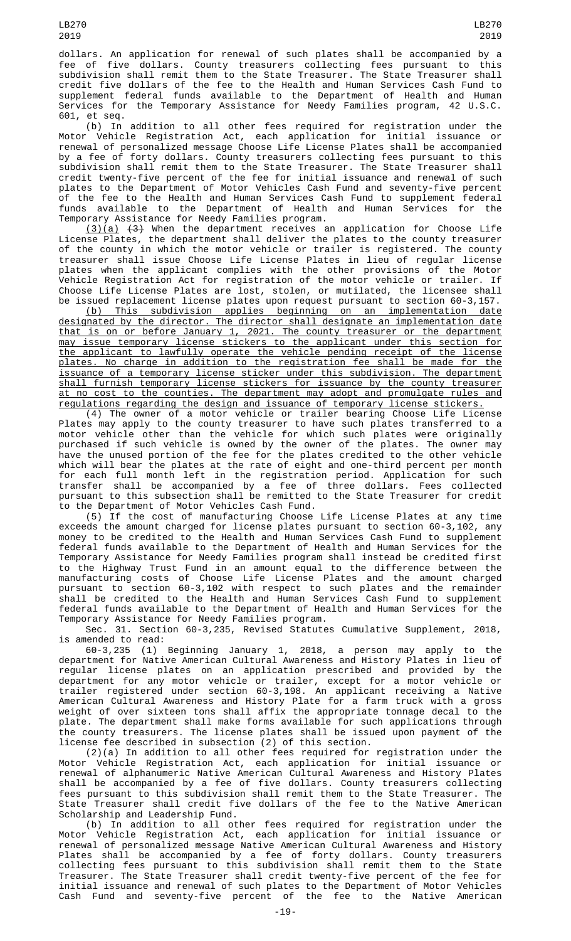LB270 2019

dollars. An application for renewal of such plates shall be accompanied by a fee of five dollars. County treasurers collecting fees pursuant to this subdivision shall remit them to the State Treasurer. The State Treasurer shall credit five dollars of the fee to the Health and Human Services Cash Fund to supplement federal funds available to the Department of Health and Human Services for the Temporary Assistance for Needy Families program, 42 U.S.C. 601, et seq.

(b) In addition to all other fees required for registration under the Motor Vehicle Registration Act, each application for initial issuance or renewal of personalized message Choose Life License Plates shall be accompanied by a fee of forty dollars. County treasurers collecting fees pursuant to this subdivision shall remit them to the State Treasurer. The State Treasurer shall credit twenty-five percent of the fee for initial issuance and renewal of such plates to the Department of Motor Vehicles Cash Fund and seventy-five percent of the fee to the Health and Human Services Cash Fund to supplement federal funds available to the Department of Health and Human Services for the Temporary Assistance for Needy Families program.

(3)(a) (3) When the department receives an application for Choose Life License Plates, the department shall deliver the plates to the county treasurer of the county in which the motor vehicle or trailer is registered. The county treasurer shall issue Choose Life License Plates in lieu of regular license plates when the applicant complies with the other provisions of the Motor Vehicle Registration Act for registration of the motor vehicle or trailer. If Choose Life License Plates are lost, stolen, or mutilated, the licensee shall be issued replacement license plates upon request pursuant to section 60-3,157.

(b) This subdivision applies beginning on an implementation date designated by the director. The director shall designate an implementation date that is on or before January 1, 2021. The county treasurer or the department may issue temporary license stickers to the applicant under this section for the applicant to lawfully operate the vehicle pending receipt of the license plates. No charge in addition to the registration fee shall be made for the issuance of a temporary license sticker under this subdivision. The department shall furnish temporary license stickers for issuance by the county treasurer at no cost to the counties. The department may adopt and promulgate rules and regulations regarding the design and issuance of temporary license stickers.

(4) The owner of a motor vehicle or trailer bearing Choose Life License Plates may apply to the county treasurer to have such plates transferred to a motor vehicle other than the vehicle for which such plates were originally purchased if such vehicle is owned by the owner of the plates. The owner may have the unused portion of the fee for the plates credited to the other vehicle which will bear the plates at the rate of eight and one-third percent per month for each full month left in the registration period. Application for such transfer shall be accompanied by a fee of three dollars. Fees collected pursuant to this subsection shall be remitted to the State Treasurer for credit to the Department of Motor Vehicles Cash Fund.

(5) If the cost of manufacturing Choose Life License Plates at any time exceeds the amount charged for license plates pursuant to section 60-3,102, any money to be credited to the Health and Human Services Cash Fund to supplement federal funds available to the Department of Health and Human Services for the Temporary Assistance for Needy Families program shall instead be credited first to the Highway Trust Fund in an amount equal to the difference between the manufacturing costs of Choose Life License Plates and the amount charged pursuant to section 60-3,102 with respect to such plates and the remainder shall be credited to the Health and Human Services Cash Fund to supplement federal funds available to the Department of Health and Human Services for the Temporary Assistance for Needy Families program.

Sec. 31. Section 60-3,235, Revised Statutes Cumulative Supplement, 2018, is amended to read:

60-3,235 (1) Beginning January 1, 2018, a person may apply to the department for Native American Cultural Awareness and History Plates in lieu of regular license plates on an application prescribed and provided by the department for any motor vehicle or trailer, except for a motor vehicle or trailer registered under section 60-3,198. An applicant receiving a Native American Cultural Awareness and History Plate for a farm truck with a gross weight of over sixteen tons shall affix the appropriate tonnage decal to the plate. The department shall make forms available for such applications through the county treasurers. The license plates shall be issued upon payment of the license fee described in subsection (2) of this section.

(2)(a) In addition to all other fees required for registration under the Motor Vehicle Registration Act, each application for initial issuance or renewal of alphanumeric Native American Cultural Awareness and History Plates shall be accompanied by a fee of five dollars. County treasurers collecting fees pursuant to this subdivision shall remit them to the State Treasurer. The State Treasurer shall credit five dollars of the fee to the Native American Scholarship and Leadership Fund.

(b) In addition to all other fees required for registration under the Motor Vehicle Registration Act, each application for initial issuance or renewal of personalized message Native American Cultural Awareness and History Plates shall be accompanied by a fee of forty dollars. County treasurers collecting fees pursuant to this subdivision shall remit them to the State Treasurer. The State Treasurer shall credit twenty-five percent of the fee for initial issuance and renewal of such plates to the Department of Motor Vehicles Cash Fund and seventy-five percent of the fee to the Native American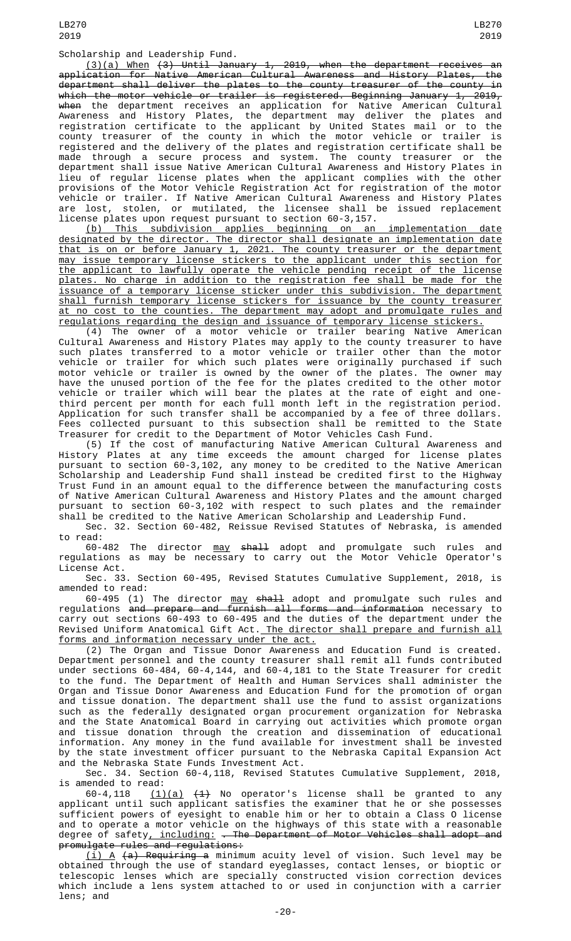Scholarship and Leadership Fund.

(3)(a) When (3) Until January 1, 2019, when the department receives an application for Native American Cultural Awareness and History Plates, the department shall deliver the plates to the county treasurer of the county in which the motor vehicle or trailer is registered. Beginning January 1, 2019, <del>when</del> the department receives an application for Native American Cultural Awareness and History Plates, the department may deliver the plates and registration certificate to the applicant by United States mail or to the county treasurer of the county in which the motor vehicle or trailer is registered and the delivery of the plates and registration certificate shall be made through a secure process and system. The county treasurer or the department shall issue Native American Cultural Awareness and History Plates in lieu of regular license plates when the applicant complies with the other provisions of the Motor Vehicle Registration Act for registration of the motor vehicle or trailer. If Native American Cultural Awareness and History Plates are lost, stolen, or mutilated, the licensee shall be issued replacement license plates upon request pursuant to section 60-3,157.

(b) This subdivision applies beginning on an implementation date designated by the director. The director shall designate an implementation date that is on or before January 1, 2021. The county treasurer or the department may issue temporary license stickers to the applicant under this section for the applicant to lawfully operate the vehicle pending receipt of the license plates. No charge in addition to the registration fee shall be made for the issuance of a temporary license sticker under this subdivision. The department shall furnish temporary license stickers for issuance by the county treasurer at no cost to the counties. The department may adopt and promulgate rules and regulations regarding the design and issuance of temporary license stickers.

(4) The owner of a motor vehicle or trailer bearing Native American Cultural Awareness and History Plates may apply to the county treasurer to have such plates transferred to a motor vehicle or trailer other than the motor vehicle or trailer for which such plates were originally purchased if such motor vehicle or trailer is owned by the owner of the plates. The owner may have the unused portion of the fee for the plates credited to the other motor vehicle or trailer which will bear the plates at the rate of eight and onethird percent per month for each full month left in the registration period. Application for such transfer shall be accompanied by a fee of three dollars. Fees collected pursuant to this subsection shall be remitted to the State Treasurer for credit to the Department of Motor Vehicles Cash Fund.

(5) If the cost of manufacturing Native American Cultural Awareness and History Plates at any time exceeds the amount charged for license plates pursuant to section 60-3,102, any money to be credited to the Native American Scholarship and Leadership Fund shall instead be credited first to the Highway Trust Fund in an amount equal to the difference between the manufacturing costs of Native American Cultural Awareness and History Plates and the amount charged pursuant to section 60-3,102 with respect to such plates and the remainder shall be credited to the Native American Scholarship and Leadership Fund.

Sec. 32. Section 60-482, Reissue Revised Statutes of Nebraska, is amended to read:

60-482 The director <u>may</u> <del>shall</del> adopt and promulgate such rules and regulations as may be necessary to carry out the Motor Vehicle Operator's License Act.

Sec. 33. Section 60-495, Revised Statutes Cumulative Supplement, 2018, is amended to read:

60-495 (1) The director may shall adopt and promulgate such rules and regulations <del>and prepare and furnish all forms and information</del> necessary to carry out sections 60-493 to 60-495 and the duties of the department under the Revised Uniform Anatomical Gift Act. The director shall prepare and furnish all forms and information necessary under the act.

(2) The Organ and Tissue Donor Awareness and Education Fund is created. Department personnel and the county treasurer shall remit all funds contributed under sections 60-484, 60-4,144, and 60-4,181 to the State Treasurer for credit to the fund. The Department of Health and Human Services shall administer the Organ and Tissue Donor Awareness and Education Fund for the promotion of organ and tissue donation. The department shall use the fund to assist organizations such as the federally designated organ procurement organization for Nebraska and the State Anatomical Board in carrying out activities which promote organ and tissue donation through the creation and dissemination of educational information. Any money in the fund available for investment shall be invested by the state investment officer pursuant to the Nebraska Capital Expansion Act and the Nebraska State Funds Investment Act.

Sec. 34. Section 60-4,118, Revised Statutes Cumulative Supplement, 2018, is amended to read:<br> $60-4,118$   $(1)$ 

 $(1)(a)$   $(4)$  No operator's license shall be granted to any applicant until such applicant satisfies the examiner that he or she possesses sufficient powers of eyesight to enable him or her to obtain a Class O license and to operate a motor vehicle on the highways of this state with a reasonable degree of safety<u>, including:</u> <del>. The Department of Motor Vehicles shall adopt and</del> promulgate rules and regulations:

 $(i)$  A  $(a)$  Requiring a minimum acuity level of vision. Such level may be obtained through the use of standard eyeglasses, contact lenses, or bioptic or telescopic lenses which are specially constructed vision correction devices which include a lens system attached to or used in conjunction with a carrier lens; and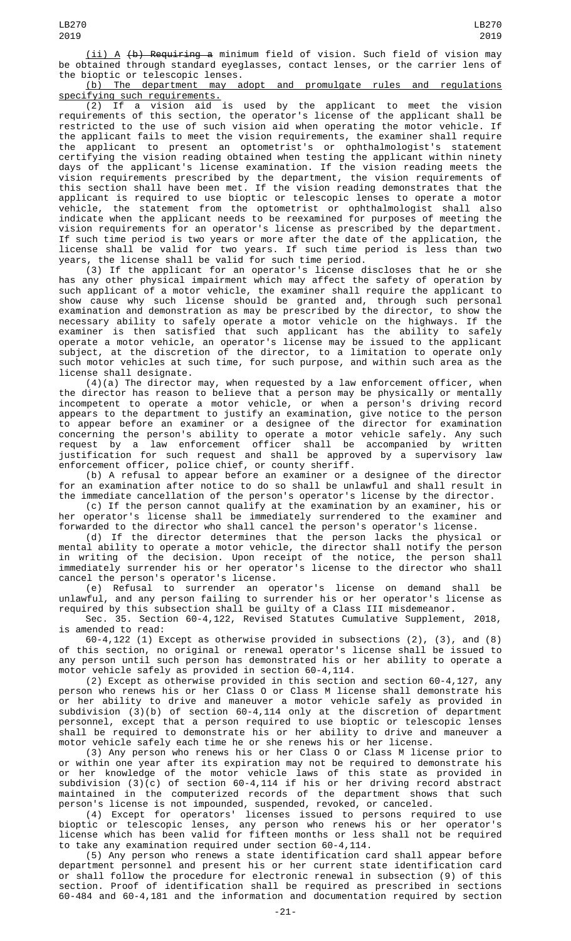(ii) A (b) Requiring a minimum field of vision. Such field of vision may be obtained through standard eyeglasses, contact lenses, or the carrier lens of the bioptic or telescopic lenses.

(b) The department may adopt and promulgate rules and regulations specifying such requirements.

(2) If a vision aid is used by the applicant to meet the vision requirements of this section, the operator's license of the applicant shall be restricted to the use of such vision aid when operating the motor vehicle. If the applicant fails to meet the vision requirements, the examiner shall require the applicant to present an optometrist's or ophthalmologist's statement certifying the vision reading obtained when testing the applicant within ninety days of the applicant's license examination. If the vision reading meets the vision requirements prescribed by the department, the vision requirements of this section shall have been met. If the vision reading demonstrates that the applicant is required to use bioptic or telescopic lenses to operate a motor vehicle, the statement from the optometrist or ophthalmologist shall also indicate when the applicant needs to be reexamined for purposes of meeting the vision requirements for an operator's license as prescribed by the department. If such time period is two years or more after the date of the application, the license shall be valid for two years. If such time period is less than two years, the license shall be valid for such time period.

(3) If the applicant for an operator's license discloses that he or she has any other physical impairment which may affect the safety of operation by such applicant of a motor vehicle, the examiner shall require the applicant to show cause why such license should be granted and, through such personal examination and demonstration as may be prescribed by the director, to show the necessary ability to safely operate a motor vehicle on the highways. If the examiner is then satisfied that such applicant has the ability to safely operate a motor vehicle, an operator's license may be issued to the applicant subject, at the discretion of the director, to a limitation to operate only such motor vehicles at such time, for such purpose, and within such area as the license shall designate.

 $(4)(a)$  The director may, when requested by a law enforcement officer, when the director has reason to believe that a person may be physically or mentally incompetent to operate a motor vehicle, or when a person's driving record appears to the department to justify an examination, give notice to the person to appear before an examiner or a designee of the director for examination concerning the person's ability to operate a motor vehicle safely. Any such request by a law enforcement officer shall be accompanied by written justification for such request and shall be approved by a supervisory law enforcement officer, police chief, or county sheriff.

(b) A refusal to appear before an examiner or a designee of the director for an examination after notice to do so shall be unlawful and shall result in the immediate cancellation of the person's operator's license by the director.

(c) If the person cannot qualify at the examination by an examiner, his or her operator's license shall be immediately surrendered to the examiner and forwarded to the director who shall cancel the person's operator's license.

(d) If the director determines that the person lacks the physical or mental ability to operate a motor vehicle, the director shall notify the person in writing of the decision. Upon receipt of the notice, the person shall immediately surrender his or her operator's license to the director who shall cancel the person's operator's license.

(e) Refusal to surrender an operator's license on demand shall be unlawful, and any person failing to surrender his or her operator's license as required by this subsection shall be guilty of a Class III misdemeanor.

Sec. 35. Section 60-4,122, Revised Statutes Cumulative Supplement, 2018, is amended to read:

60-4,122 (1) Except as otherwise provided in subsections (2), (3), and (8) of this section, no original or renewal operator's license shall be issued to any person until such person has demonstrated his or her ability to operate a motor vehicle safely as provided in section 60-4,114.

(2) Except as otherwise provided in this section and section 60-4,127, any person who renews his or her Class O or Class M license shall demonstrate his or her ability to drive and maneuver a motor vehicle safely as provided in subdivision (3)(b) of section 60-4,114 only at the discretion of department personnel, except that a person required to use bioptic or telescopic lenses shall be required to demonstrate his or her ability to drive and maneuver a motor vehicle safely each time he or she renews his or her license.

(3) Any person who renews his or her Class O or Class M license prior to or within one year after its expiration may not be required to demonstrate his or her knowledge of the motor vehicle laws of this state as provided in subdivision (3)(c) of section 60-4,114 if his or her driving record abstract maintained in the computerized records of the department shows that such person's license is not impounded, suspended, revoked, or canceled.

(4) Except for operators' licenses issued to persons required to use bioptic or telescopic lenses, any person who renews his or her operator's license which has been valid for fifteen months or less shall not be required to take any examination required under section 60-4,114.

(5) Any person who renews a state identification card shall appear before department personnel and present his or her current state identification card or shall follow the procedure for electronic renewal in subsection (9) of this section. Proof of identification shall be required as prescribed in sections 60-484 and 60-4,181 and the information and documentation required by section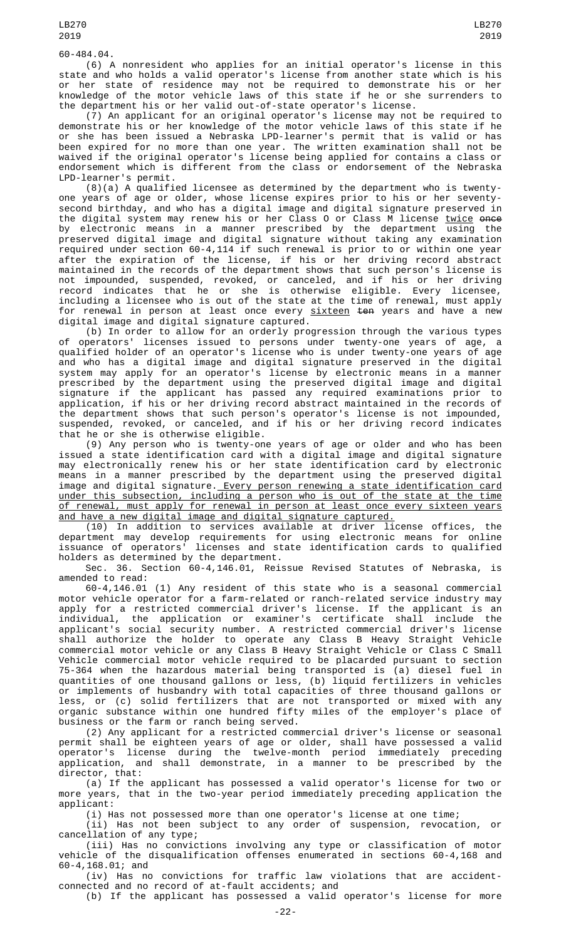(6) A nonresident who applies for an initial operator's license in this state and who holds a valid operator's license from another state which is his or her state of residence may not be required to demonstrate his or her knowledge of the motor vehicle laws of this state if he or she surrenders to the department his or her valid out-of-state operator's license.

(7) An applicant for an original operator's license may not be required to demonstrate his or her knowledge of the motor vehicle laws of this state if he or she has been issued a Nebraska LPD-learner's permit that is valid or has been expired for no more than one year. The written examination shall not be waived if the original operator's license being applied for contains a class or endorsement which is different from the class or endorsement of the Nebraska LPD-learner's permit.

(8)(a) A qualified licensee as determined by the department who is twentyone years of age or older, whose license expires prior to his or her seventysecond birthday, and who has a digital image and digital signature preserved in the digital system may renew his or her Class O or Class M license <u>twice</u> <del>once</del> by electronic means in a manner prescribed by the department using the preserved digital image and digital signature without taking any examination required under section 60-4,114 if such renewal is prior to or within one year after the expiration of the license, if his or her driving record abstract maintained in the records of the department shows that such person's license is not impounded, suspended, revoked, or canceled, and if his or her driving record indicates that he or she is otherwise eligible. Every licensee, including a licensee who is out of the state at the time of renewal, must apply for renewal in person at least once every <u>sixteen</u> <del>ten</del> years and have a new digital image and digital signature captured.

(b) In order to allow for an orderly progression through the various types of operators' licenses issued to persons under twenty-one years of age, a qualified holder of an operator's license who is under twenty-one years of age and who has a digital image and digital signature preserved in the digital system may apply for an operator's license by electronic means in a manner prescribed by the department using the preserved digital image and digital signature if the applicant has passed any required examinations prior to application, if his or her driving record abstract maintained in the records of the department shows that such person's operator's license is not impounded, suspended, revoked, or canceled, and if his or her driving record indicates that he or she is otherwise eligible.

(9) Any person who is twenty-one years of age or older and who has been issued a state identification card with a digital image and digital signature may electronically renew his or her state identification card by electronic means in a manner prescribed by the department using the preserved digital image and digital signature. Every person renewing a state identification card under this subsection, including a person who is out of the state at the time of renewal, must apply for renewal in person at least once every sixteen years and have a new digital image and digital signature captured.

(10) In addition to services available at driver license offices, the department may develop requirements for using electronic means for online issuance of operators' licenses and state identification cards to qualified holders as determined by the department.

Sec. 36. Section 60-4,146.01, Reissue Revised Statutes of Nebraska, is amended to read:

60-4,146.01 (1) Any resident of this state who is a seasonal commercial motor vehicle operator for a farm-related or ranch-related service industry may apply for a restricted commercial driver's license. If the applicant is an individual, the application or examiner's certificate shall include the applicant's social security number. A restricted commercial driver's license shall authorize the holder to operate any Class B Heavy Straight Vehicle commercial motor vehicle or any Class B Heavy Straight Vehicle or Class C Small Vehicle commercial motor vehicle required to be placarded pursuant to section 75-364 when the hazardous material being transported is (a) diesel fuel in quantities of one thousand gallons or less, (b) liquid fertilizers in vehicles or implements of husbandry with total capacities of three thousand gallons or less, or (c) solid fertilizers that are not transported or mixed with any organic substance within one hundred fifty miles of the employer's place of business or the farm or ranch being served.

(2) Any applicant for a restricted commercial driver's license or seasonal permit shall be eighteen years of age or older, shall have possessed a valid operator's license during the twelve-month period immediately preceding application, and shall demonstrate, in a manner to be prescribed by the director, that:

(a) If the applicant has possessed a valid operator's license for two or more years, that in the two-year period immediately preceding application the applicant:

(i) Has not possessed more than one operator's license at one time;

 $(i)$  Has not been subject to any order of suspension, revocation, cancellation of any type;

(iii) Has no convictions involving any type or classification of motor vehicle of the disqualification offenses enumerated in sections 60-4,168 and 60-4,168.01; and

(iv) Has no convictions for traffic law violations that are accidentconnected and no record of at-fault accidents; and

(b) If the applicant has possessed a valid operator's license for more

LB270

-22-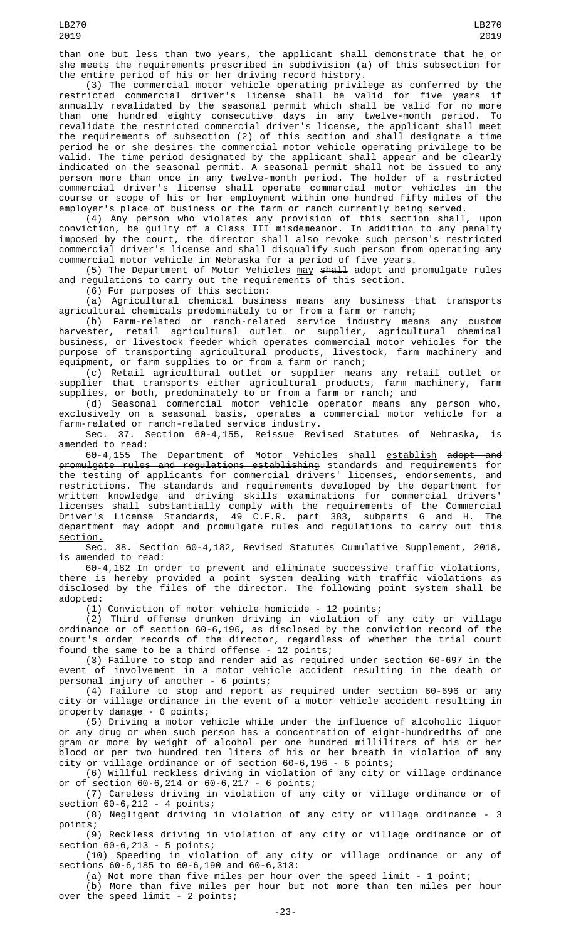(3) The commercial motor vehicle operating privilege as conferred by the restricted commercial driver's license shall be valid for five years if annually revalidated by the seasonal permit which shall be valid for no more than one hundred eighty consecutive days in any twelve-month period. To revalidate the restricted commercial driver's license, the applicant shall meet the requirements of subsection (2) of this section and shall designate a time period he or she desires the commercial motor vehicle operating privilege to be valid. The time period designated by the applicant shall appear and be clearly indicated on the seasonal permit. A seasonal permit shall not be issued to any person more than once in any twelve-month period. The holder of a restricted commercial driver's license shall operate commercial motor vehicles in the course or scope of his or her employment within one hundred fifty miles of the employer's place of business or the farm or ranch currently being served.

(4) Any person who violates any provision of this section shall, upon conviction, be guilty of a Class III misdemeanor. In addition to any penalty imposed by the court, the director shall also revoke such person's restricted commercial driver's license and shall disqualify such person from operating any commercial motor vehicle in Nebraska for a period of five years.

(5) The Department of Motor Vehicles <u>may</u> <del>shall</del> adopt and promulgate rules and regulations to carry out the requirements of this section.

(6) For purposes of this section:

(a) Agricultural chemical business means any business that transports agricultural chemicals predominately to or from a farm or ranch;

(b) Farm-related or ranch-related service industry means any custom harvester, retail agricultural outlet or supplier, agricultural chemical business, or livestock feeder which operates commercial motor vehicles for the purpose of transporting agricultural products, livestock, farm machinery and equipment, or farm supplies to or from a farm or ranch;

(c) Retail agricultural outlet or supplier means any retail outlet or supplier that transports either agricultural products, farm machinery, farm supplies, or both, predominately to or from a farm or ranch; and

(d) Seasonal commercial motor vehicle operator means any person who, exclusively on a seasonal basis, operates a commercial motor vehicle for a farm-related or ranch-related service industry.

Sec. 37. Section 60-4,155, Reissue Revised Statutes of Nebraska, is amended to read:

60-4,155 The Department of Motor Vehicles shall <u>establish</u> <del>adopt and</del> promulgate rules and regulations establishing standards and requirements for the testing of applicants for commercial drivers' licenses, endorsements, and restrictions. The standards and requirements developed by the department for written knowledge and driving skills examinations for commercial drivers' licenses shall substantially comply with the requirements of the Commercial Driver's License Standards, 49 C.F.R. part 383, subparts G and H.<u> The</u> department may adopt and promulgate rules and regulations to carry out this section.

Sec. 38. Section 60-4,182, Revised Statutes Cumulative Supplement, 2018, is amended to read:

60-4,182 In order to prevent and eliminate successive traffic violations, there is hereby provided a point system dealing with traffic violations as disclosed by the files of the director. The following point system shall be adopted:

(1) Conviction of motor vehicle homicide - 12 points;

(2) Third offense drunken driving in violation of any city or village ordinance or of section 60-6,196, as disclosed by the <u>conviction record of the</u> court's order records of the director, regardless of whether the trial court Found the same to be a third offense - 12 points;

(3) Failure to stop and render aid as required under section 60-697 in the event of involvement in a motor vehicle accident resulting in the death or personal injury of another - 6 points;

(4) Failure to stop and report as required under section 60-696 or any city or village ordinance in the event of a motor vehicle accident resulting in property damage - 6 points;

(5) Driving a motor vehicle while under the influence of alcoholic liquor or any drug or when such person has a concentration of eight-hundredths of one gram or more by weight of alcohol per one hundred milliliters of his or her blood or per two hundred ten liters of his or her breath in violation of any city or village ordinance or of section 60-6,196 - 6 points;

(6) Willful reckless driving in violation of any city or village ordinance or of section 60-6,214 or 60-6,217 - 6 points;

(7) Careless driving in violation of any city or village ordinance or of section 60-6,212 - 4 points;

(8) Negligent driving in violation of any city or village ordinance - 3 points;

(9) Reckless driving in violation of any city or village ordinance or of section 60-6,213 - 5 points;

(10) Speeding in violation of any city or village ordinance or any of sections 60-6,185 to 60-6,190 and 60-6,313:

(a) Not more than five miles per hour over the speed limit - 1 point;

(b) More than five miles per hour but not more than ten miles per hour over the speed limit - 2 points;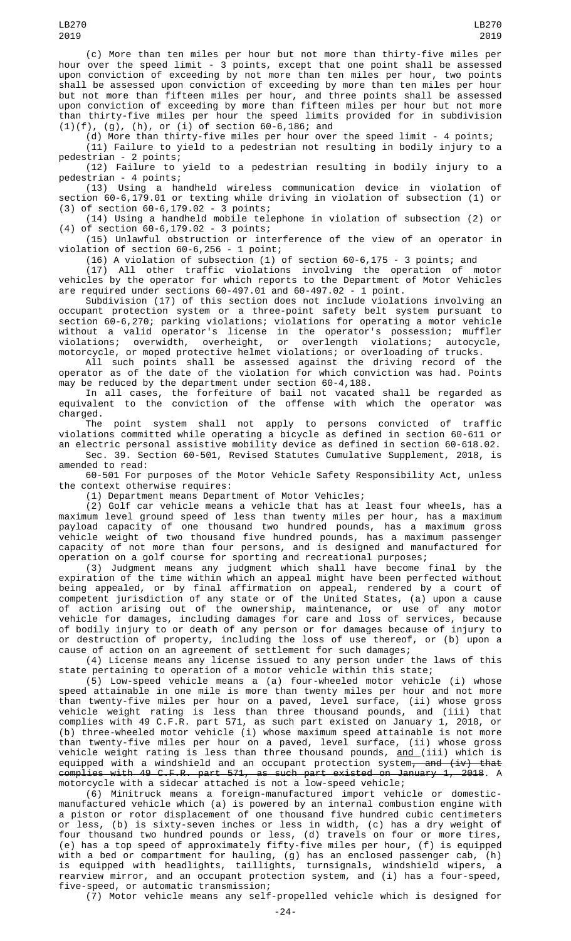(c) More than ten miles per hour but not more than thirty-five miles per hour over the speed limit - 3 points, except that one point shall be assessed upon conviction of exceeding by not more than ten miles per hour, two points shall be assessed upon conviction of exceeding by more than ten miles per hour but not more than fifteen miles per hour, and three points shall be assessed upon conviction of exceeding by more than fifteen miles per hour but not more than thirty-five miles per hour the speed limits provided for in subdivision (1)(f), (g), (h), or (i) of section 60-6,186; and

(d) More than thirty-five miles per hour over the speed limit - 4 points; (11) Failure to yield to a pedestrian not resulting in bodily injury to a pedestrian - 2 points;

(12) Failure to yield to a pedestrian resulting in bodily injury to a pedestrian - 4 points;

(13) Using a handheld wireless communication device in violation of section 60-6,179.01 or texting while driving in violation of subsection (1) or (3) of section 60-6,179.02 - 3 points;

(14) Using a handheld mobile telephone in violation of subsection (2) or (4) of section 60-6,179.02 - 3 points;

(15) Unlawful obstruction or interference of the view of an operator in violation of section 60-6,256 - 1 point;

(16) A violation of subsection  $(1)$  of section 60-6,175 - 3 points; and

(17) All other traffic violations involving the operation of motor vehicles by the operator for which reports to the Department of Motor Vehicles are required under sections 60-497.01 and 60-497.02 - 1 point.

Subdivision (17) of this section does not include violations involving an occupant protection system or a three-point safety belt system pursuant to section 60-6,270; parking violations; violations for operating a motor vehicle without a valid operator's license in the operator's possession; muffler violations; overwidth, overheight, or overlength violations; autocycle,

motorcycle, or moped protective helmet violations; or overloading of trucks. All such points shall be assessed against the driving record of the operator as of the date of the violation for which conviction was had. Points may be reduced by the department under section 60-4,188.

In all cases, the forfeiture of bail not vacated shall be regarded as equivalent to the conviction of the offense with which the operator was charged.<br>The

point system shall not apply to persons convicted of traffic violations committed while operating a bicycle as defined in section 60-611 or an electric personal assistive mobility device as defined in section 60-618.02.

Sec. 39. Section 60-501, Revised Statutes Cumulative Supplement, 2018, is amended to read:

60-501 For purposes of the Motor Vehicle Safety Responsibility Act, unless the context otherwise requires:

(1) Department means Department of Motor Vehicles;

(2) Golf car vehicle means a vehicle that has at least four wheels, has a maximum level ground speed of less than twenty miles per hour, has a maximum payload capacity of one thousand two hundred pounds, has a maximum gross vehicle weight of two thousand five hundred pounds, has a maximum passenger capacity of not more than four persons, and is designed and manufactured for operation on a golf course for sporting and recreational purposes;

(3) Judgment means any judgment which shall have become final by the expiration of the time within which an appeal might have been perfected without being appealed, or by final affirmation on appeal, rendered by a court of competent jurisdiction of any state or of the United States, (a) upon a cause of action arising out of the ownership, maintenance, or use of any motor vehicle for damages, including damages for care and loss of services, because of bodily injury to or death of any person or for damages because of injury to or destruction of property, including the loss of use thereof, or (b) upon a cause of action on an agreement of settlement for such damages;

(4) License means any license issued to any person under the laws of this state pertaining to operation of a motor vehicle within this state;

(5) Low-speed vehicle means a (a) four-wheeled motor vehicle (i) whose speed attainable in one mile is more than twenty miles per hour and not more than twenty-five miles per hour on a paved, level surface, (ii) whose gross vehicle weight rating is less than three thousand pounds, and (iii) that complies with 49 C.F.R. part 571, as such part existed on January 1, 2018, or (b) three-wheeled motor vehicle (i) whose maximum speed attainable is not more than twenty-five miles per hour on a paved, level surface, (ii) whose gross vehicle weight rating is less than three thousand pounds, <u>and (</u>iii) which is equipped with a windshield and an occupant protection system<del>, and (iv) that</del> complies with 49 C.F.R. part 571, as such part existed on January 1, 2018. A motorcycle with a sidecar attached is not a low-speed vehicle;

(6) Minitruck means a foreign-manufactured import vehicle or domesticmanufactured vehicle which (a) is powered by an internal combustion engine with a piston or rotor displacement of one thousand five hundred cubic centimeters or less, (b) is sixty-seven inches or less in width, (c) has a dry weight of four thousand two hundred pounds or less, (d) travels on four or more tires, (e) has a top speed of approximately fifty-five miles per hour, (f) is equipped with a bed or compartment for hauling, (g) has an enclosed passenger cab, (h) is equipped with headlights, taillights, turnsignals, windshield wipers, a rearview mirror, and an occupant protection system, and (i) has a four-speed, five-speed, or automatic transmission;

(7) Motor vehicle means any self-propelled vehicle which is designed for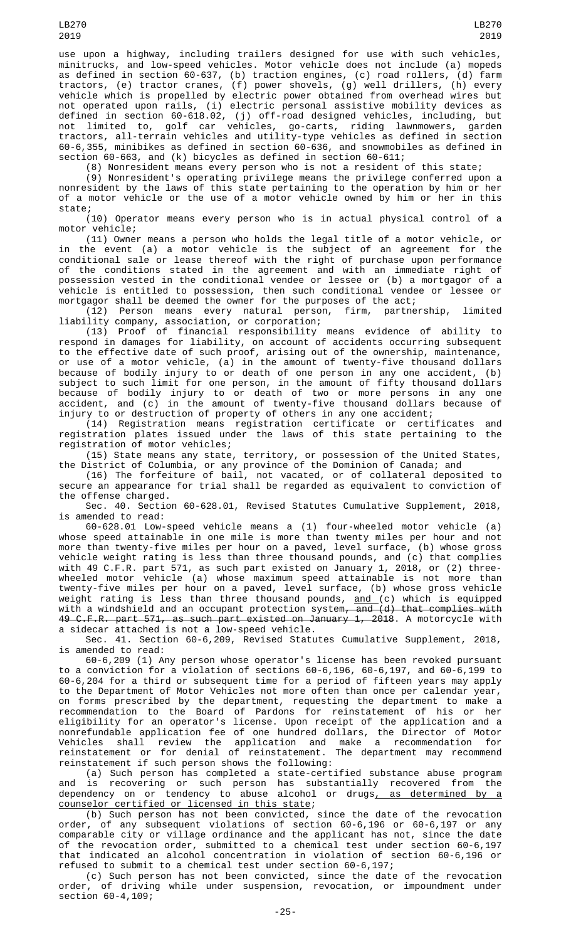use upon a highway, including trailers designed for use with such vehicles, minitrucks, and low-speed vehicles. Motor vehicle does not include (a) mopeds as defined in section 60-637, (b) traction engines, (c) road rollers, (d) farm tractors, (e) tractor cranes, (f) power shovels, (g) well drillers, (h) every vehicle which is propelled by electric power obtained from overhead wires but not operated upon rails, (i) electric personal assistive mobility devices as defined in section 60-618.02, (j) off-road designed vehicles, including, but not limited to, golf car vehicles, go-carts, riding lawnmowers, garden tractors, all-terrain vehicles and utility-type vehicles as defined in section 60-6,355, minibikes as defined in section 60-636, and snowmobiles as defined in section 60-663, and (k) bicycles as defined in section 60-611;

(8) Nonresident means every person who is not a resident of this state;

(9) Nonresident's operating privilege means the privilege conferred upon a nonresident by the laws of this state pertaining to the operation by him or her of a motor vehicle or the use of a motor vehicle owned by him or her in this state;

(10) Operator means every person who is in actual physical control of a motor vehicle;

(11) Owner means a person who holds the legal title of a motor vehicle, or in the event (a) a motor vehicle is the subject of an agreement for the conditional sale or lease thereof with the right of purchase upon performance of the conditions stated in the agreement and with an immediate right of possession vested in the conditional vendee or lessee or (b) a mortgagor of a vehicle is entitled to possession, then such conditional vendee or lessee or mortgagor shall be deemed the owner for the purposes of the act;

(12) Person means every natural person, firm, partnership, limited liability company, association, or corporation;

(13) Proof of financial responsibility means evidence of ability to respond in damages for liability, on account of accidents occurring subsequent to the effective date of such proof, arising out of the ownership, maintenance, or use of a motor vehicle, (a) in the amount of twenty-five thousand dollars because of bodily injury to or death of one person in any one accident, (b) subject to such limit for one person, in the amount of fifty thousand dollars because of bodily injury to or death of two or more persons in any one accident, and (c) in the amount of twenty-five thousand dollars because of injury to or destruction of property of others in any one accident;

(14) Registration means registration certificate or certificates and registration plates issued under the laws of this state pertaining to the registration of motor vehicles;

(15) State means any state, territory, or possession of the United States, the District of Columbia, or any province of the Dominion of Canada; and

(16) The forfeiture of bail, not vacated, or of collateral deposited to secure an appearance for trial shall be regarded as equivalent to conviction of the offense charged.

Sec. 40. Section 60-628.01, Revised Statutes Cumulative Supplement, 2018, is amended to read:

60-628.01 Low-speed vehicle means a (1) four-wheeled motor vehicle (a) whose speed attainable in one mile is more than twenty miles per hour and not more than twenty-five miles per hour on a paved, level surface, (b) whose gross vehicle weight rating is less than three thousand pounds, and (c) that complies with 49 C.F.R. part 571, as such part existed on January 1, 2018, or (2) threewheeled motor vehicle (a) whose maximum speed attainable is not more than twenty-five miles per hour on a paved, level surface, (b) whose gross vehicle weight rating is less than three thousand pounds, <u>and (</u>c) which is equipped with a windshield and an occupant protection system<del>, and (d) that complies with</del> 49 C.F.R. part 571, as such part existed on January 1, 2018. A motorcycle with a sidecar attached is not a low-speed vehicle.

Sec. 41. Section 60-6,209, Revised Statutes Cumulative Supplement, 2018, is amended to read:

60-6,209 (1) Any person whose operator's license has been revoked pursuant to a conviction for a violation of sections 60-6,196, 60-6,197, and 60-6,199 to 60-6,204 for a third or subsequent time for a period of fifteen years may apply to the Department of Motor Vehicles not more often than once per calendar year, on forms prescribed by the department, requesting the department to make a recommendation to the Board of Pardons for reinstatement of his or her eligibility for an operator's license. Upon receipt of the application and a nonrefundable application fee of one hundred dollars, the Director of Motor Vehicles shall review the application and make a recommendation for reinstatement or for denial of reinstatement. The department may recommend reinstatement if such person shows the following:

(a) Such person has completed a state-certified substance abuse program and is recovering or such person has substantially recovered from the dependency on or tendency to abuse alcohol or drugs<u>, as determined by a</u> counselor certified or licensed in this state;

(b) Such person has not been convicted, since the date of the revocation order, of any subsequent violations of section 60-6,196 or 60-6,197 or any comparable city or village ordinance and the applicant has not, since the date of the revocation order, submitted to a chemical test under section 60-6,197 that indicated an alcohol concentration in violation of section 60-6,196 or refused to submit to a chemical test under section 60-6,197;

(c) Such person has not been convicted, since the date of the revocation order, of driving while under suspension, revocation, or impoundment under section 60-4,109;